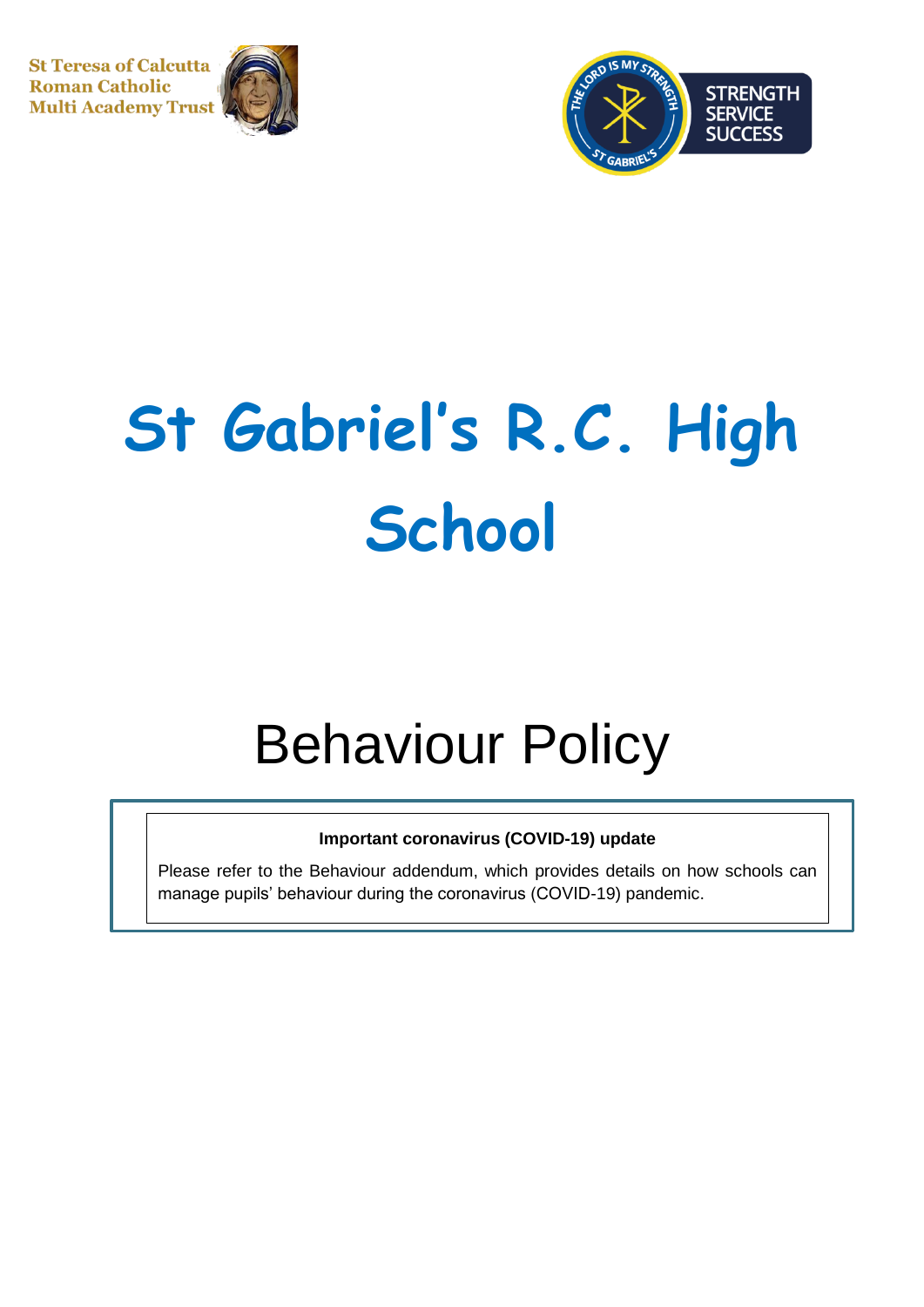**St Teresa of Calcutta Roman Catholic Multi Academy Trust** 





# **St Gabriel's R.C. High School**

# Behaviour Policy

# **Important coronavirus (COVID-19) update**

Please refer to the Behaviour addendum, which provides details on how schools can manage pupils' behaviour during the coronavirus (COVID-19) pandemic.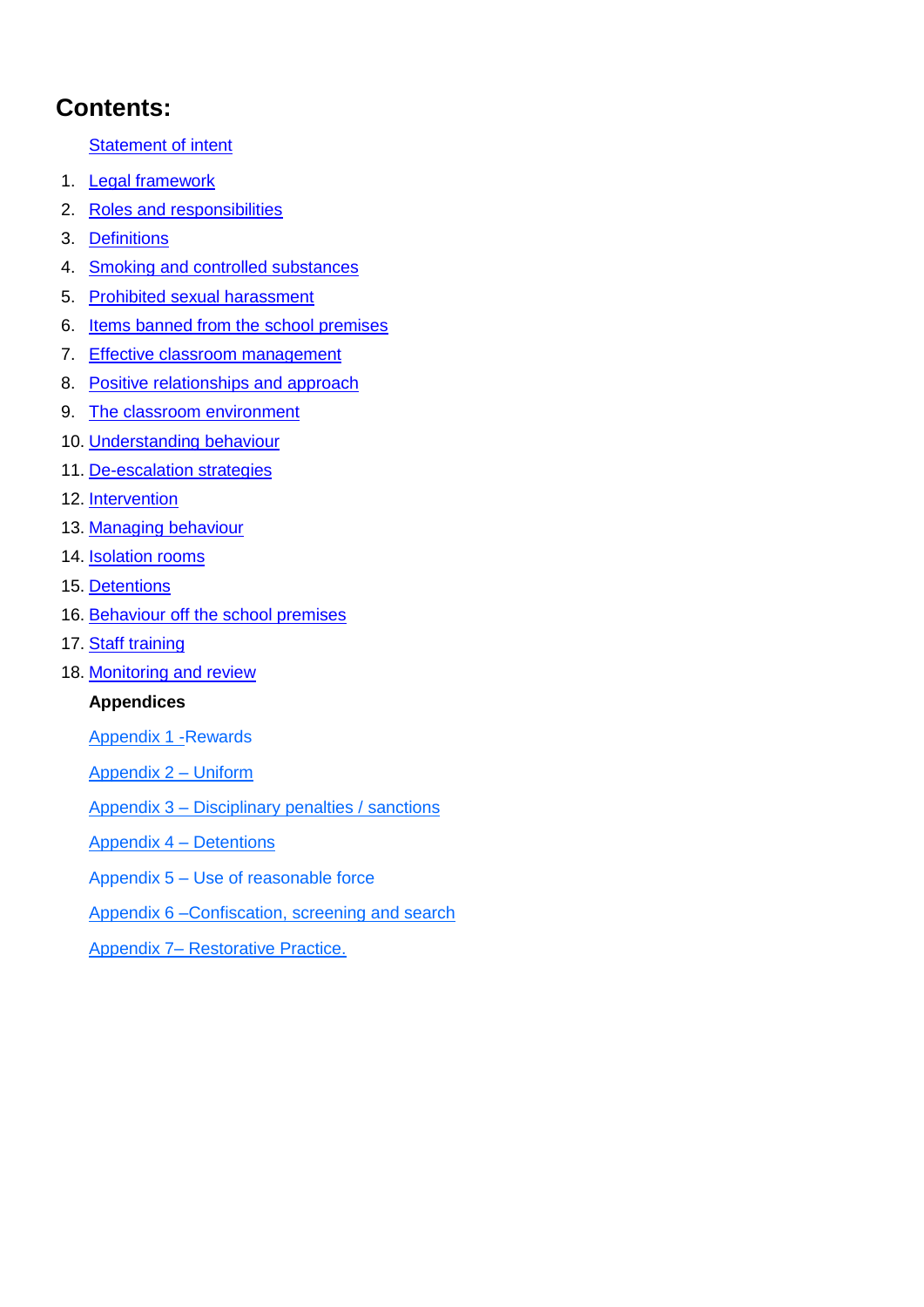# **Contents:**

# **[Statement of intent](#page-2-0)**

- 1. [Legal framework](#page-3-0)
- 2. [Roles and responsibilities](#page-3-1)
- 3. [Definitions](#page-6-0)
- 4. [Smoking and controlled substances](#page-7-0)
- 5. [Prohibited sexual harassment](#page-8-0)
- 6. [Items banned from the](#page-9-0) school premises
- 7. [Effective classroom management](#page-11-0)
- 8. [Positive relationships and approach](#page-12-0)
- 9. [The classroom environment](#page-13-0)
- 10. [Understanding behaviour](#page-13-0)
- 11. [De-escalation strategies](#page-13-1)
- 12. [Intervention](#page-14-0)
- 13. [Managing behaviour](#page-15-0)
- 14. **[Isolation rooms](#page-17-0)**
- 15. Detentions
- 16. [Behaviour off the school premises](#page-18-0)
- 17. [Staff training](#page-19-0)
- 18. [Monitoring and review](#page-3-1)

# **Appendices**

- Appendix 1 -Rewards
- Appendix 2 Uniform
- Appendix 3 Disciplinary penalties / sanctions
- Appendix 4 Detentions
- Appendix 5 Use of reasonable force
- Appendix 6 –Confiscation, screening and search
- Appendix 7– Restorative Practice.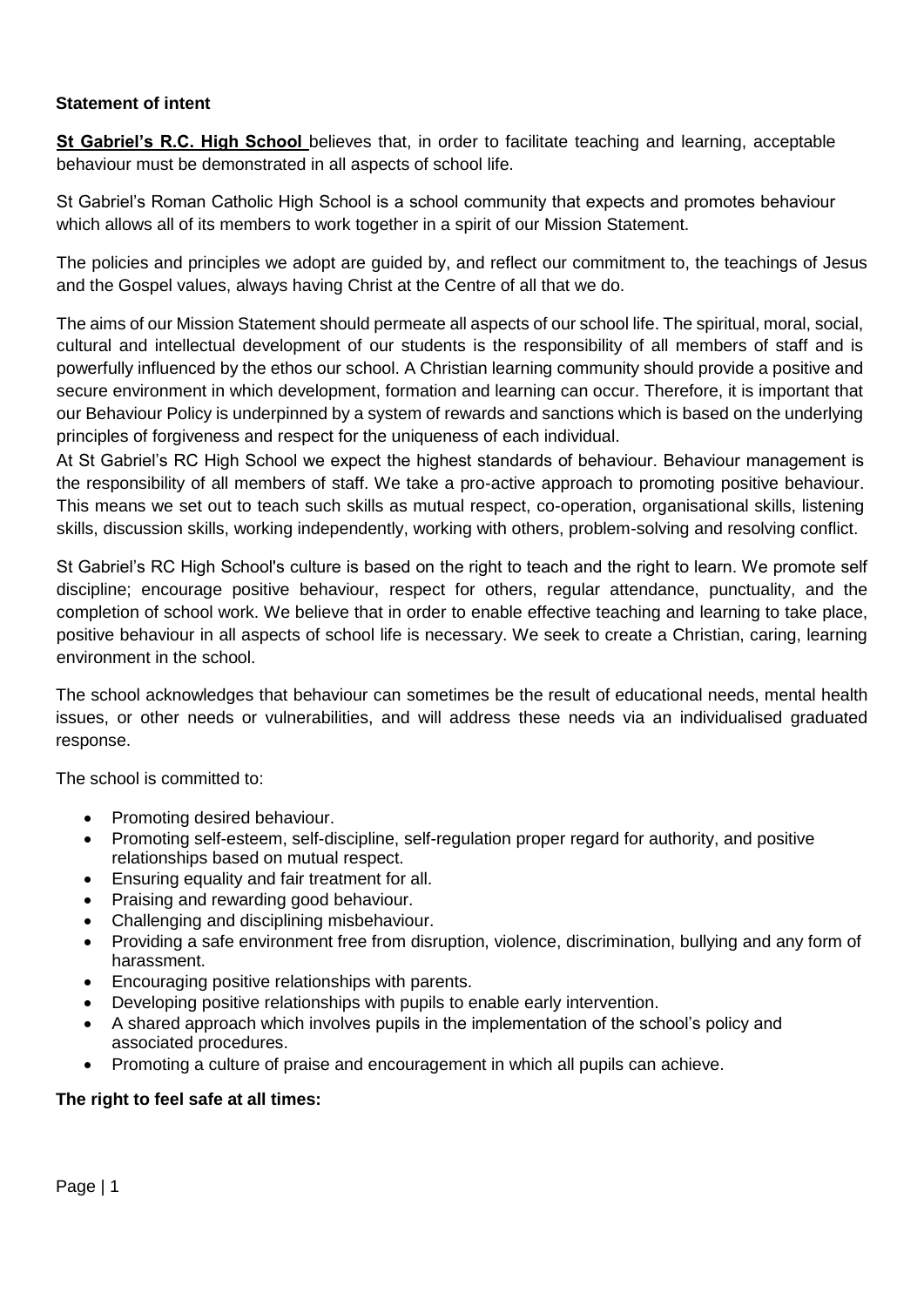# <span id="page-2-0"></span>**Statement of intent**

**St Gabriel's R.C. High School** believes that, in order to facilitate teaching and learning, acceptable behaviour must be demonstrated in all aspects of school life.

St Gabriel's Roman Catholic High School is a school community that expects and promotes behaviour which allows all of its members to work together in a spirit of our Mission Statement.

The policies and principles we adopt are guided by, and reflect our commitment to, the teachings of Jesus and the Gospel values, always having Christ at the Centre of all that we do.

The aims of our Mission Statement should permeate all aspects of our school life. The spiritual, moral, social, cultural and intellectual development of our students is the responsibility of all members of staff and is powerfully influenced by the ethos our school. A Christian learning community should provide a positive and secure environment in which development, formation and learning can occur. Therefore, it is important that our Behaviour Policy is underpinned by a system of rewards and sanctions which is based on the underlying principles of forgiveness and respect for the uniqueness of each individual.

At St Gabriel's RC High School we expect the highest standards of behaviour. Behaviour management is the responsibility of all members of staff. We take a pro-active approach to promoting positive behaviour. This means we set out to teach such skills as mutual respect, co-operation, organisational skills, listening skills, discussion skills, working independently, working with others, problem-solving and resolving conflict.

St Gabriel's RC High School's culture is based on the right to teach and the right to learn. We promote self discipline; encourage positive behaviour, respect for others, regular attendance, punctuality, and the completion of school work. We believe that in order to enable effective teaching and learning to take place, positive behaviour in all aspects of school life is necessary. We seek to create a Christian, caring, learning environment in the school.

The school acknowledges that behaviour can sometimes be the result of educational needs, mental health issues, or other needs or vulnerabilities, and will address these needs via an individualised graduated response.

The school is committed to:

- Promoting desired behaviour.
- Promoting self-esteem, self-discipline, self-regulation proper regard for authority, and positive relationships based on mutual respect.
- Ensuring equality and fair treatment for all.
- Praising and rewarding good behaviour.
- Challenging and disciplining misbehaviour.
- Providing a safe environment free from disruption, violence, discrimination, bullying and any form of harassment.
- Encouraging positive relationships with parents.
- Developing positive relationships with pupils to enable early intervention.
- A shared approach which involves pupils in the implementation of the school's policy and associated procedures.
- Promoting a culture of praise and encouragement in which all pupils can achieve.

# **The right to feel safe at all times:**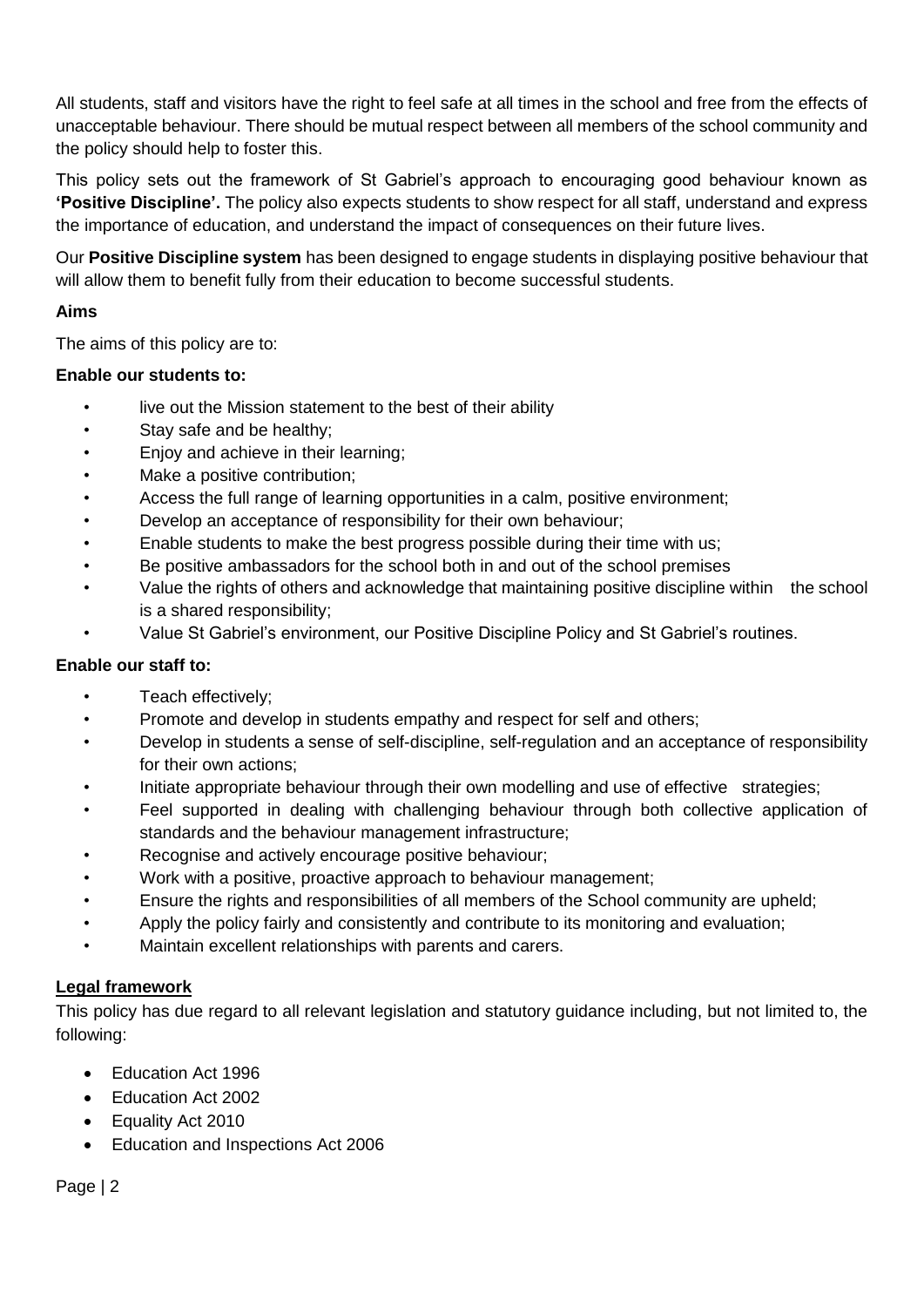All students, staff and visitors have the right to feel safe at all times in the school and free from the effects of unacceptable behaviour. There should be mutual respect between all members of the school community and the policy should help to foster this.

This policy sets out the framework of St Gabriel's approach to encouraging good behaviour known as **'Positive Discipline'.** The policy also expects students to show respect for all staff, understand and express the importance of education, and understand the impact of consequences on their future lives.

Our **Positive Discipline system** has been designed to engage students in displaying positive behaviour that will allow them to benefit fully from their education to become successful students.

# **Aims**

The aims of this policy are to:

# **Enable our students to:**

- live out the Mission statement to the best of their ability
- Stay safe and be healthy;
- Enjoy and achieve in their learning;
- Make a positive contribution;
- Access the full range of learning opportunities in a calm, positive environment;
- Develop an acceptance of responsibility for their own behaviour;
- Enable students to make the best progress possible during their time with us;
- Be positive ambassadors for the school both in and out of the school premises
- Value the rights of others and acknowledge that maintaining positive discipline within the school is a shared responsibility;
- Value St Gabriel's environment, our Positive Discipline Policy and St Gabriel's routines.

# **Enable our staff to:**

- Teach effectively;
- Promote and develop in students empathy and respect for self and others;
- Develop in students a sense of self-discipline, self-regulation and an acceptance of responsibility for their own actions;
- Initiate appropriate behaviour through their own modelling and use of effective strategies;
- Feel supported in dealing with challenging behaviour through both collective application of standards and the behaviour management infrastructure;
- Recognise and actively encourage positive behaviour;
- Work with a positive, proactive approach to behaviour management;
- Ensure the rights and responsibilities of all members of the School community are upheld;
- Apply the policy fairly and consistently and contribute to its monitoring and evaluation;
- Maintain excellent relationships with parents and carers.

# <span id="page-3-0"></span>**Legal framework**

<span id="page-3-1"></span>This policy has due regard to all relevant legislation and statutory guidance including, but not limited to, the following:

- Education Act 1996
- Education Act 2002
- Equality Act 2010
- Education and Inspections Act 2006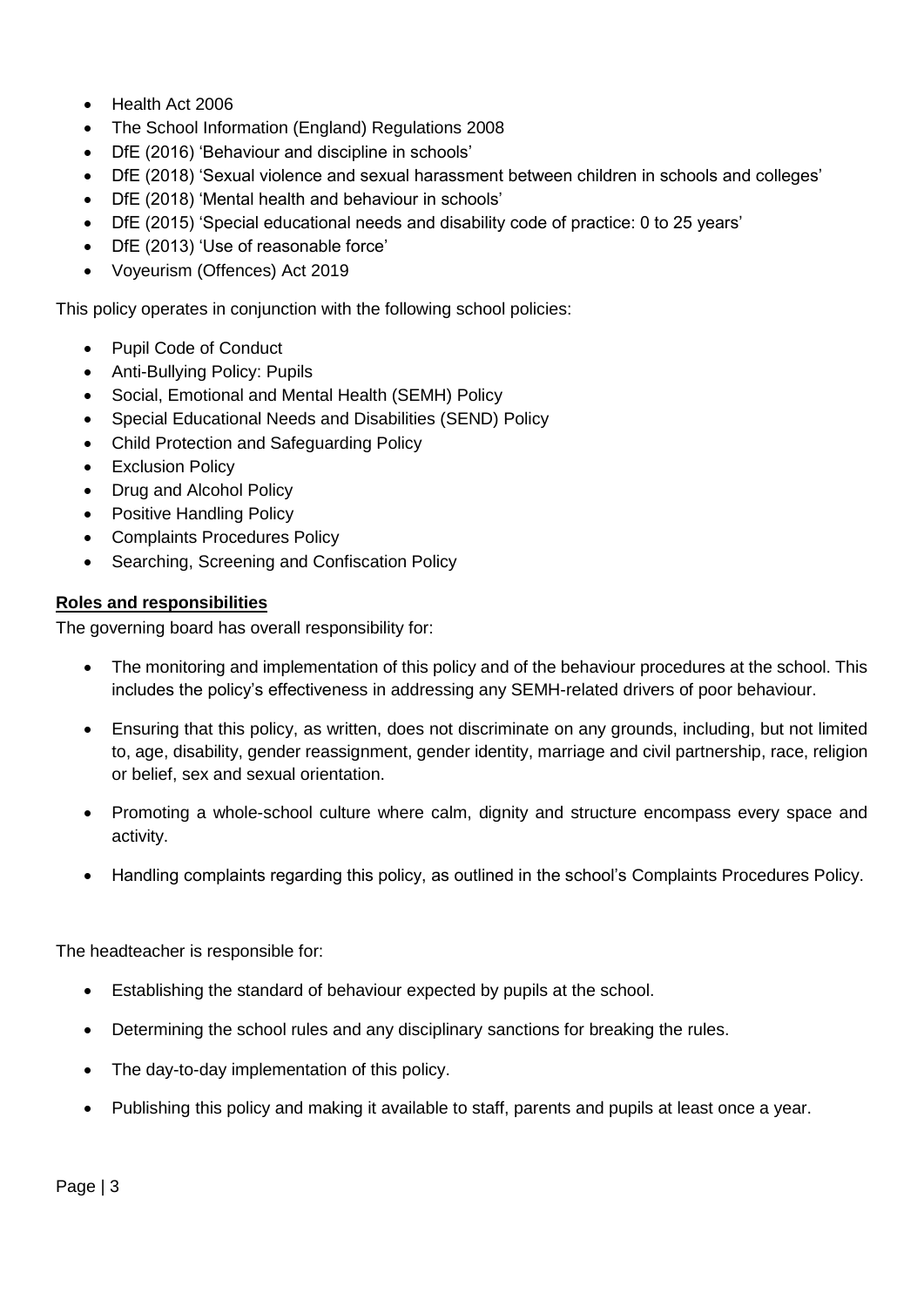- Health Act 2006
- The School Information (England) Regulations 2008
- DfE (2016) 'Behaviour and discipline in schools'
- DfE (2018) 'Sexual violence and sexual harassment between children in schools and colleges'
- DfE (2018) 'Mental health and behaviour in schools'
- DfE (2015) 'Special educational needs and disability code of practice: 0 to 25 years'
- DfE (2013) 'Use of reasonable force'
- Voyeurism (Offences) Act 2019

This policy operates in conjunction with the following school policies:

- Pupil Code of Conduct
- Anti-Bullying Policy: Pupils
- Social, Emotional and Mental Health (SEMH) Policy
- Special Educational Needs and Disabilities (SEND) Policy
- Child Protection and Safeguarding Policy
- Exclusion Policy
- Drug and Alcohol Policy
- Positive Handling Policy
- Complaints Procedures Policy
- Searching, Screening and Confiscation Policy

# **Roles and responsibilities**

The governing board has overall responsibility for:

- The monitoring and implementation of this policy and of the behaviour procedures at the school. This includes the policy's effectiveness in addressing any SEMH-related drivers of poor behaviour.
- Ensuring that this policy, as written, does not discriminate on any grounds, including, but not limited to, age, disability, gender reassignment, gender identity, marriage and civil partnership, race, religion or belief, sex and sexual orientation.
- Promoting a whole-school culture where calm, dignity and structure encompass every space and activity.
- Handling complaints regarding this policy, as outlined in the school's Complaints Procedures Policy.

The headteacher is responsible for:

- Establishing the standard of behaviour expected by pupils at the school.
- Determining the school rules and any disciplinary sanctions for breaking the rules.
- The day-to-day implementation of this policy.
- Publishing this policy and making it available to staff, parents and pupils at least once a year.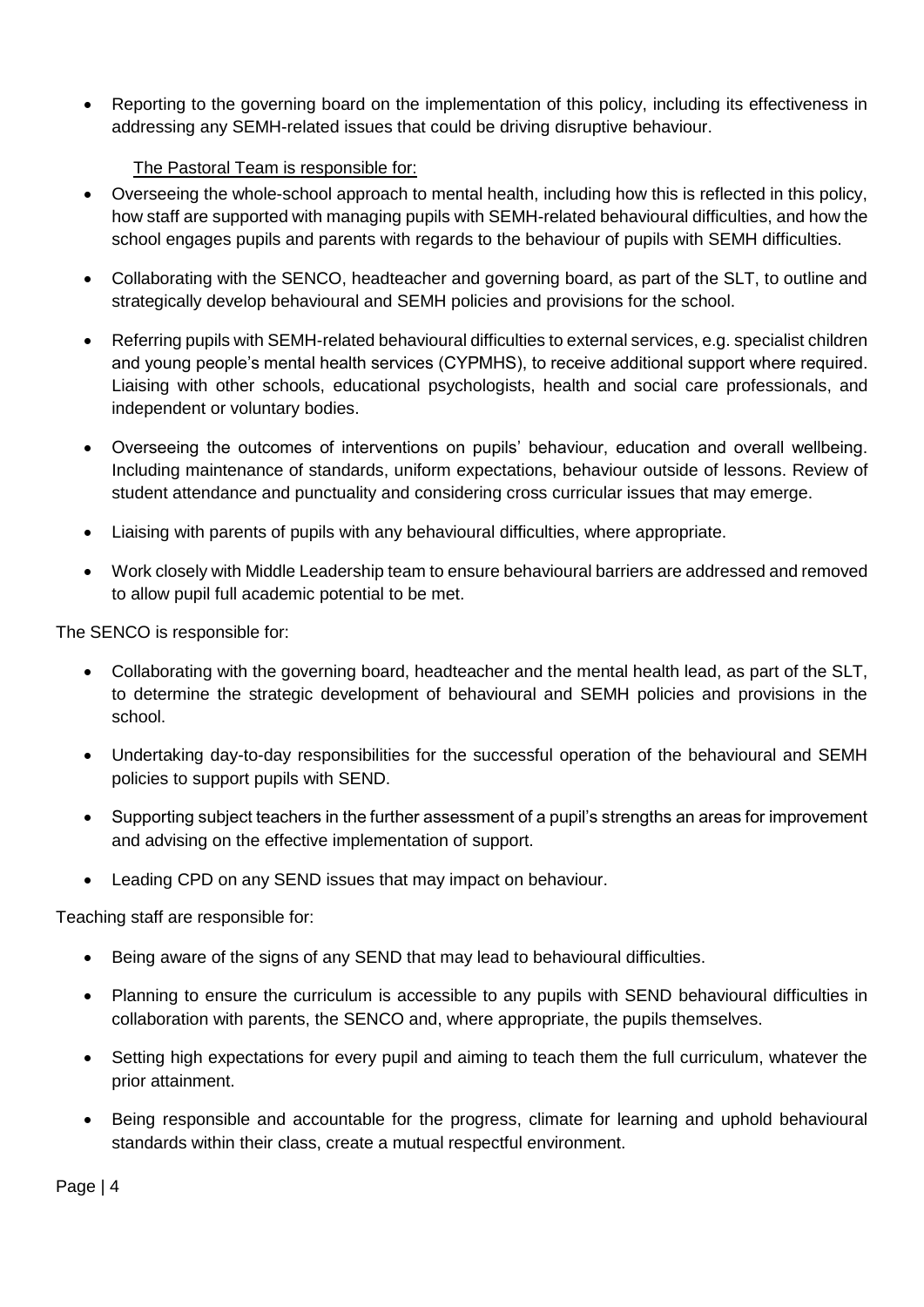• Reporting to the governing board on the implementation of this policy, including its effectiveness in addressing any SEMH-related issues that could be driving disruptive behaviour.

# The Pastoral Team is responsible for:

- Overseeing the whole-school approach to mental health, including how this is reflected in this policy, how staff are supported with managing pupils with SEMH-related behavioural difficulties, and how the school engages pupils and parents with regards to the behaviour of pupils with SEMH difficulties.
- Collaborating with the SENCO, headteacher and governing board, as part of the SLT, to outline and strategically develop behavioural and SEMH policies and provisions for the school.
- Referring pupils with SEMH-related behavioural difficulties to external services, e.g. specialist children and young people's mental health services (CYPMHS), to receive additional support where required. Liaising with other schools, educational psychologists, health and social care professionals, and independent or voluntary bodies.
- Overseeing the outcomes of interventions on pupils' behaviour, education and overall wellbeing. Including maintenance of standards, uniform expectations, behaviour outside of lessons. Review of student attendance and punctuality and considering cross curricular issues that may emerge.
- Liaising with parents of pupils with any behavioural difficulties, where appropriate.
- Work closely with Middle Leadership team to ensure behavioural barriers are addressed and removed to allow pupil full academic potential to be met.

The SENCO is responsible for:

- Collaborating with the governing board, headteacher and the mental health lead, as part of the SLT, to determine the strategic development of behavioural and SEMH policies and provisions in the school.
- Undertaking day-to-day responsibilities for the successful operation of the behavioural and SEMH policies to support pupils with SEND.
- Supporting subject teachers in the further assessment of a pupil's strengths an areas for improvement and advising on the effective implementation of support.
- Leading CPD on any SEND issues that may impact on behaviour.

Teaching staff are responsible for:

- Being aware of the signs of any SEND that may lead to behavioural difficulties.
- Planning to ensure the curriculum is accessible to any pupils with SEND behavioural difficulties in collaboration with parents, the SENCO and, where appropriate, the pupils themselves.
- Setting high expectations for every pupil and aiming to teach them the full curriculum, whatever the prior attainment.
- Being responsible and accountable for the progress, climate for learning and uphold behavioural standards within their class, create a mutual respectful environment.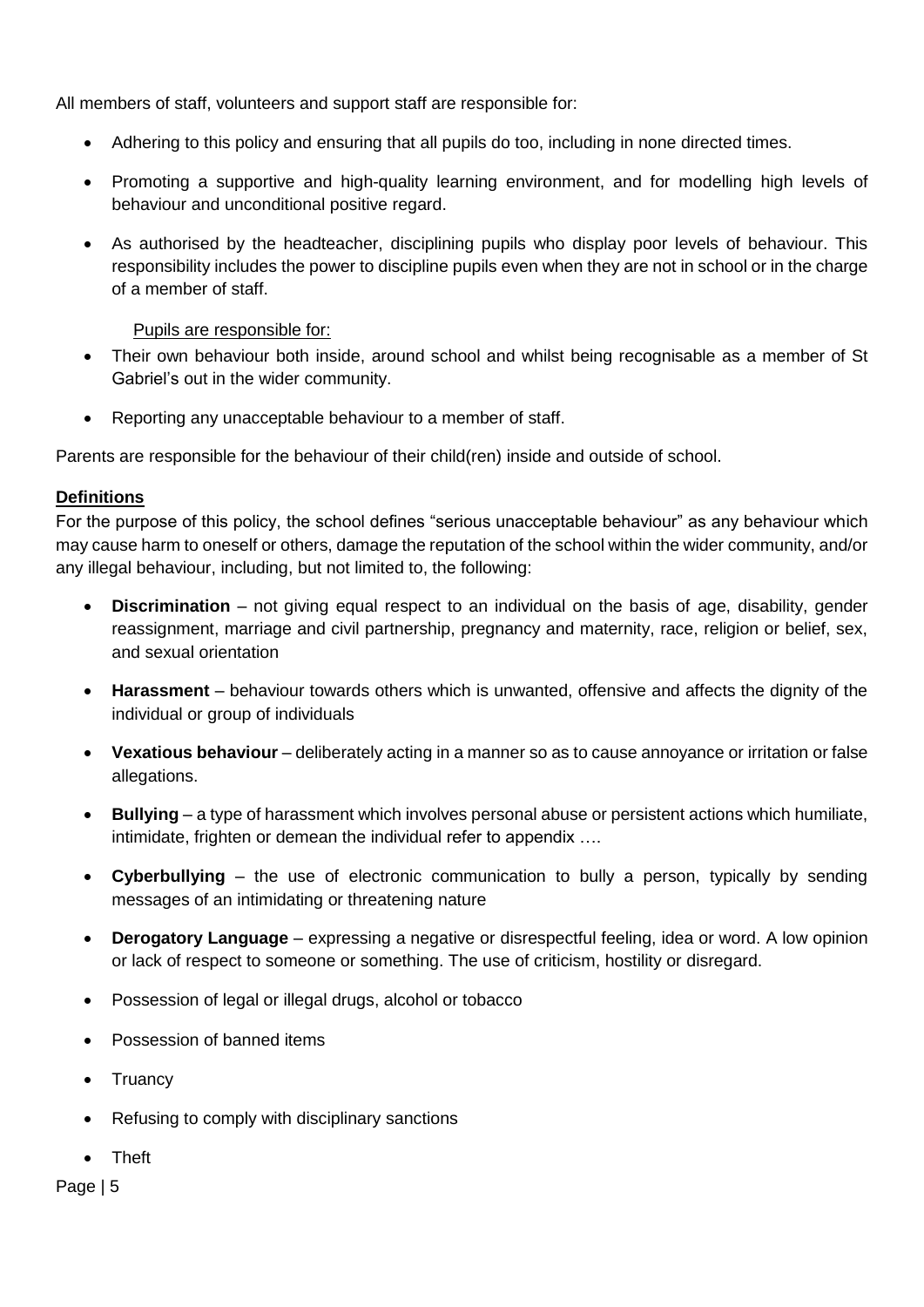All members of staff, volunteers and support staff are responsible for:

- Adhering to this policy and ensuring that all pupils do too, including in none directed times.
- Promoting a supportive and high-quality learning environment, and for modelling high levels of behaviour and unconditional positive regard.
- As authorised by the headteacher, disciplining pupils who display poor levels of behaviour. This responsibility includes the power to discipline pupils even when they are not in school or in the charge of a member of staff.

Pupils are responsible for:

- Their own behaviour both inside, around school and whilst being recognisable as a member of St Gabriel's out in the wider community.
- Reporting any unacceptable behaviour to a member of staff.

Parents are responsible for the behaviour of their child(ren) inside and outside of school.

# <span id="page-6-0"></span>**Definitions**

For the purpose of this policy, the school defines "serious unacceptable behaviour" as any behaviour which may cause harm to oneself or others, damage the reputation of the school within the wider community, and/or any illegal behaviour, including, but not limited to, the following:

- **Discrimination** not giving equal respect to an individual on the basis of age, disability, gender reassignment, marriage and civil partnership, pregnancy and maternity, race, religion or belief, sex, and sexual orientation
- **Harassment**  behaviour towards others which is unwanted, offensive and affects the dignity of the individual or group of individuals
- **Vexatious behaviour** deliberately acting in a manner so as to cause annoyance or irritation or false allegations.
- **Bullying** a type of harassment which involves personal abuse or persistent actions which humiliate, intimidate, frighten or demean the individual refer to appendix ….
- **Cyberbullying** the use of electronic communication to bully a person, typically by sending messages of an intimidating or threatening nature
- **Derogatory Language**  expressing a negative or disrespectful feeling, idea or word. A low opinion or lack of respect to someone or something. The use of criticism, hostility or disregard.
- Possession of legal or illegal drugs, alcohol or tobacco
- Possession of banned items
- Truancy
- Refusing to comply with disciplinary sanctions
- Theft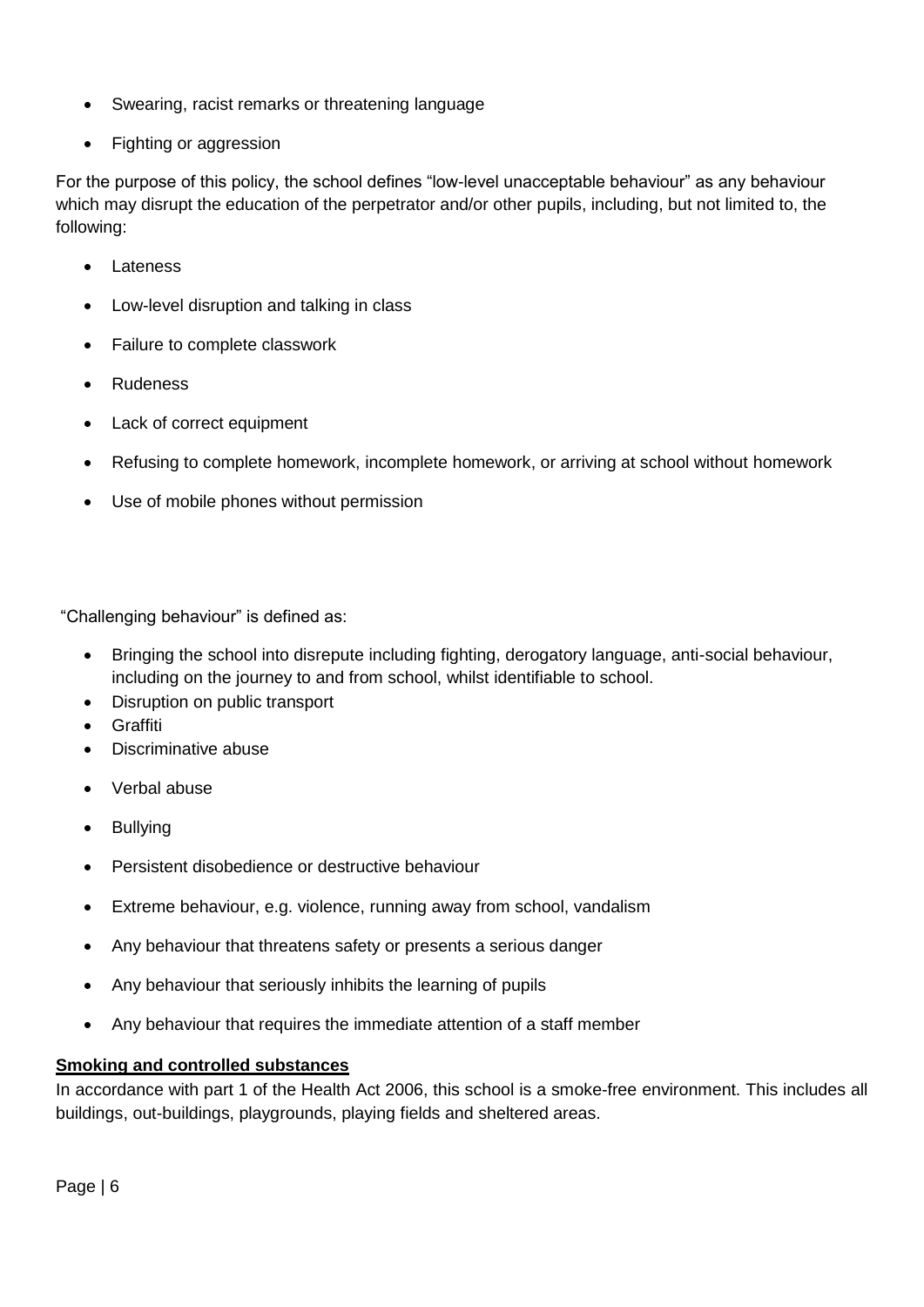- Swearing, racist remarks or threatening language
- Fighting or aggression

For the purpose of this policy, the school defines "low-level unacceptable behaviour" as any behaviour which may disrupt the education of the perpetrator and/or other pupils, including, but not limited to, the following:

- Lateness
- Low-level disruption and talking in class
- Failure to complete classwork
- **Rudeness**
- Lack of correct equipment
- Refusing to complete homework, incomplete homework, or arriving at school without homework
- Use of mobile phones without permission

"Challenging behaviour" is defined as:

- Bringing the school into disrepute including fighting, derogatory language, anti-social behaviour, including on the journey to and from school, whilst identifiable to school.
- Disruption on public transport
- Graffiti
- Discriminative abuse
- Verbal abuse
- **Bullying**
- Persistent disobedience or destructive behaviour
- Extreme behaviour, e.g. violence, running away from school, vandalism
- Any behaviour that threatens safety or presents a serious danger
- Any behaviour that seriously inhibits the learning of pupils
- Any behaviour that requires the immediate attention of a staff member

# <span id="page-7-0"></span>**Smoking and controlled substances**

In accordance with part 1 of the Health Act 2006, this school is a smoke-free environment. This includes all buildings, out-buildings, playgrounds, playing fields and sheltered areas.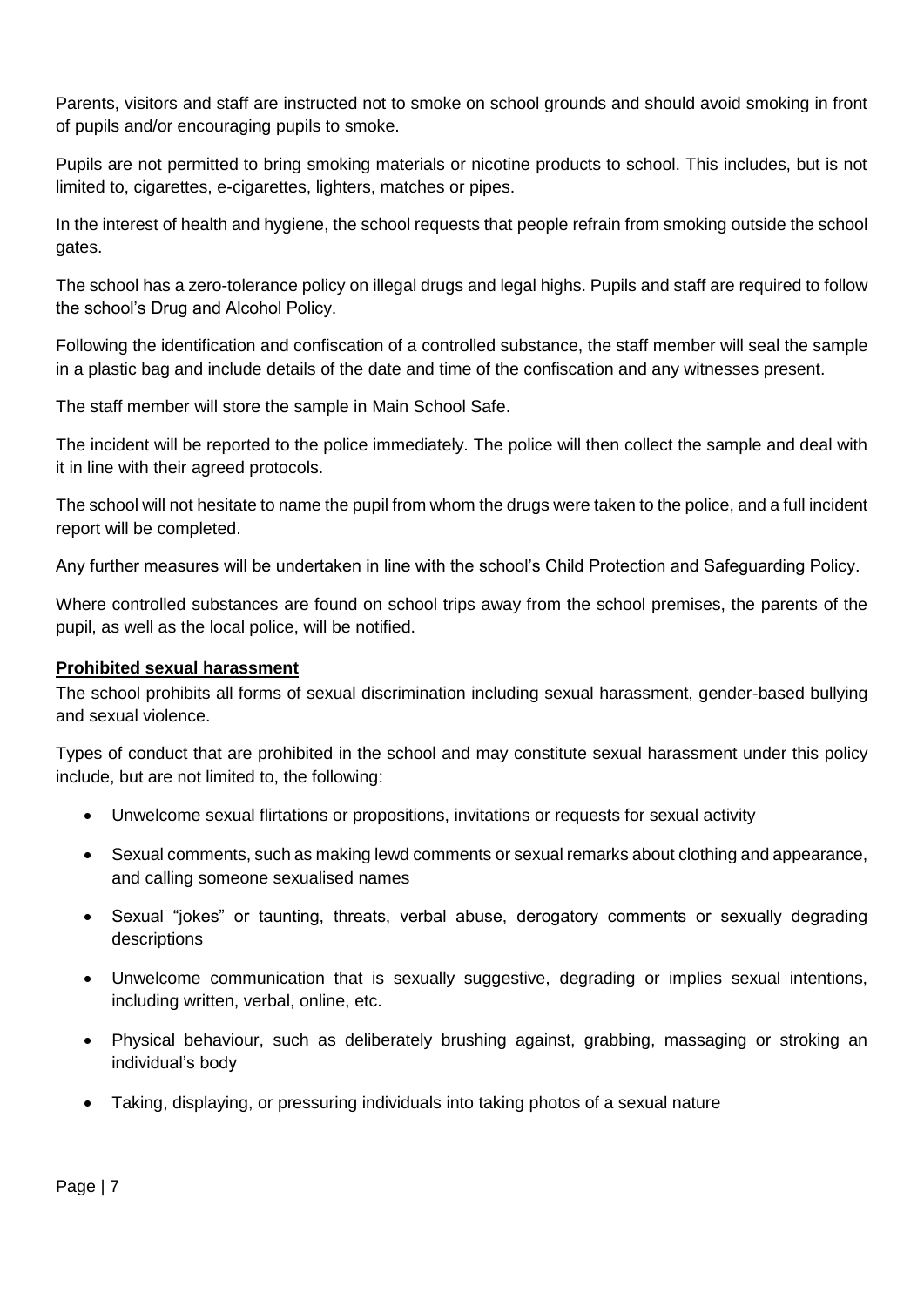Parents, visitors and staff are instructed not to smoke on school grounds and should avoid smoking in front of pupils and/or encouraging pupils to smoke.

Pupils are not permitted to bring smoking materials or nicotine products to school. This includes, but is not limited to, cigarettes, e-cigarettes, lighters, matches or pipes.

In the interest of health and hygiene, the school requests that people refrain from smoking outside the school gates.

The school has a zero-tolerance policy on illegal drugs and legal highs. Pupils and staff are required to follow the school's Drug and Alcohol Policy.

Following the identification and confiscation of a controlled substance, the staff member will seal the sample in a plastic bag and include details of the date and time of the confiscation and any witnesses present.

The staff member will store the sample in Main School Safe.

The incident will be reported to the police immediately. The police will then collect the sample and deal with it in line with their agreed protocols.

The school will not hesitate to name the pupil from whom the drugs were taken to the police, and a full incident report will be completed.

Any further measures will be undertaken in line with the school's Child Protection and Safeguarding Policy.

Where controlled substances are found on school trips away from the school premises, the parents of the pupil, as well as the local police, will be notified.

# <span id="page-8-0"></span>**Prohibited sexual harassment**

The school prohibits all forms of sexual discrimination including sexual harassment, gender-based bullying and sexual violence.

Types of conduct that are prohibited in the school and may constitute sexual harassment under this policy include, but are not limited to, the following:

- Unwelcome sexual flirtations or propositions, invitations or requests for sexual activity
- Sexual comments, such as making lewd comments or sexual remarks about clothing and appearance, and calling someone sexualised names
- Sexual "jokes" or taunting, threats, verbal abuse, derogatory comments or sexually degrading descriptions
- Unwelcome communication that is sexually suggestive, degrading or implies sexual intentions, including written, verbal, online, etc.
- Physical behaviour, such as deliberately brushing against, grabbing, massaging or stroking an individual's body
- Taking, displaying, or pressuring individuals into taking photos of a sexual nature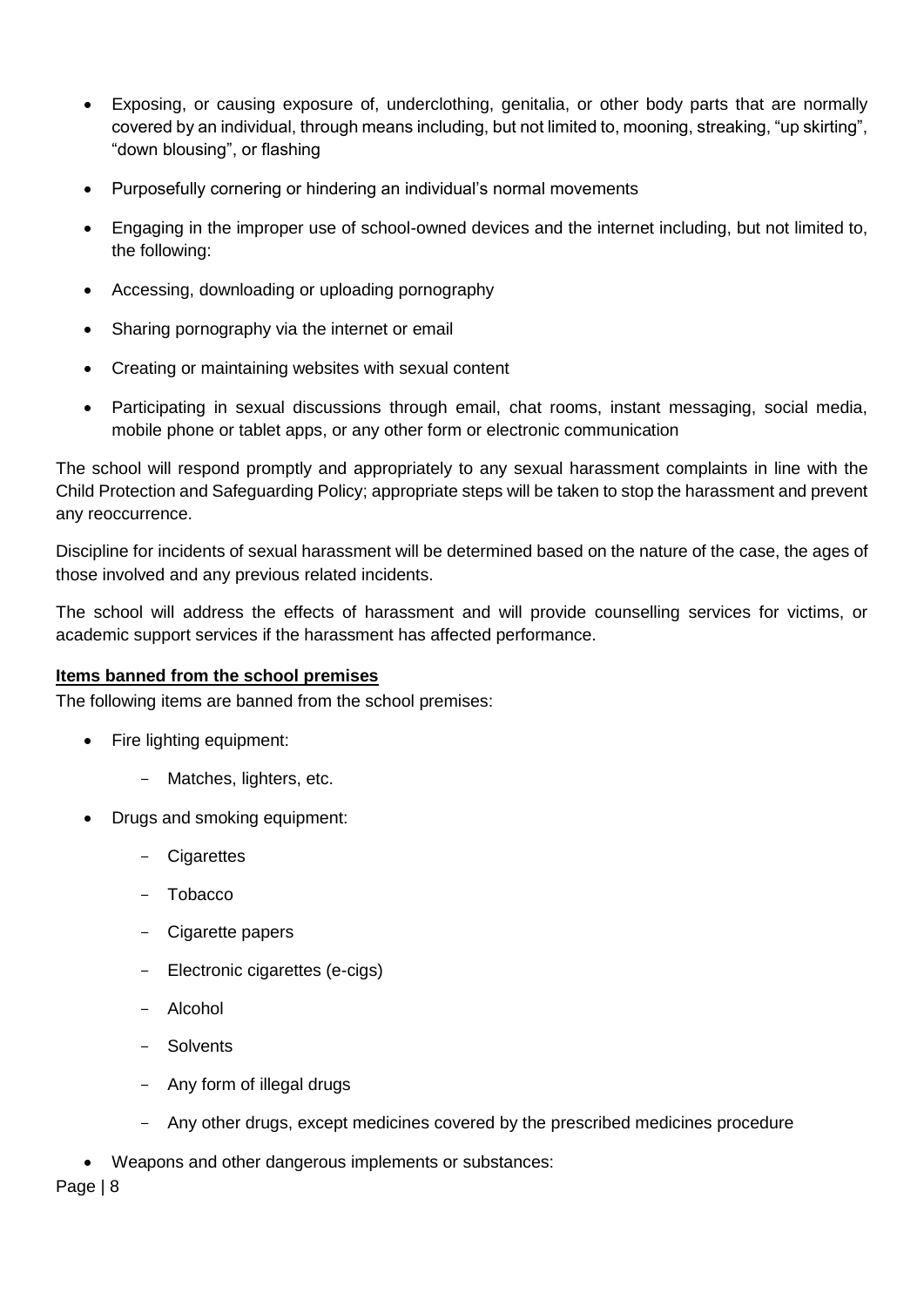- Exposing, or causing exposure of, underclothing, genitalia, or other body parts that are normally covered by an individual, through means including, but not limited to, mooning, streaking, "up skirting", "down blousing", or flashing
- Purposefully cornering or hindering an individual's normal movements
- Engaging in the improper use of school-owned devices and the internet including, but not limited to, the following:
- Accessing, downloading or uploading pornography
- Sharing pornography via the internet or email
- Creating or maintaining websites with sexual content
- Participating in sexual discussions through email, chat rooms, instant messaging, social media, mobile phone or tablet apps, or any other form or electronic communication

The school will respond promptly and appropriately to any sexual harassment complaints in line with the Child Protection and Safeguarding Policy; appropriate steps will be taken to stop the harassment and prevent any reoccurrence.

Discipline for incidents of sexual harassment will be determined based on the nature of the case, the ages of those involved and any previous related incidents.

The school will address the effects of harassment and will provide counselling services for victims, or academic support services if the harassment has affected performance.

# <span id="page-9-0"></span>**Items banned from the school premises**

The following items are banned from the school premises:

- Fire lighting equipment:
	- Matches, lighters, etc.
- Drugs and smoking equipment:
	- Cigarettes
	- Tobacco
	- Cigarette papers
	- Electronic cigarettes (e-cigs)
	- Alcohol
	- Solvents
	- Any form of illegal drugs
	- Any other drugs, except medicines covered by the prescribed medicines procedure
- Weapons and other dangerous implements or substances: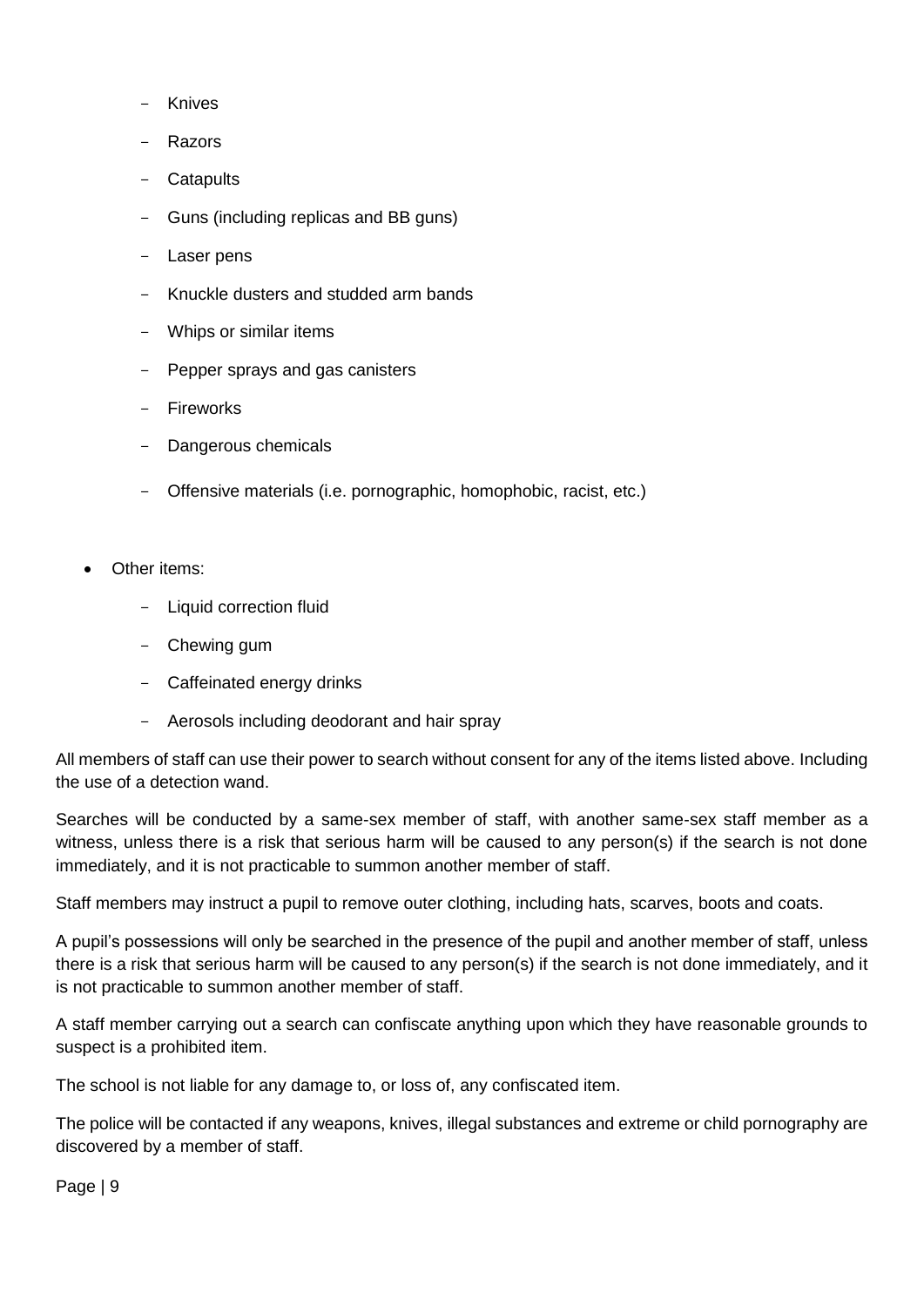- **Knives**
- **Razors**
- **Catapults**
- Guns (including replicas and BB guns)
- Laser pens
- Knuckle dusters and studded arm bands
- Whips or similar items
- Pepper sprays and gas canisters
- Fireworks
- Dangerous chemicals
- Offensive materials (i.e. pornographic, homophobic, racist, etc.)
- Other items:
	- Liquid correction fluid
	- Chewing gum
	- Caffeinated energy drinks
	- Aerosols including deodorant and hair spray

All members of staff can use their power to search without consent for any of the items listed above. Including the use of a detection wand.

Searches will be conducted by a same-sex member of staff, with another same-sex staff member as a witness, unless there is a risk that serious harm will be caused to any person(s) if the search is not done immediately, and it is not practicable to summon another member of staff.

Staff members may instruct a pupil to remove outer clothing, including hats, scarves, boots and coats.

A pupil's possessions will only be searched in the presence of the pupil and another member of staff, unless there is a risk that serious harm will be caused to any person(s) if the search is not done immediately, and it is not practicable to summon another member of staff.

A staff member carrying out a search can confiscate anything upon which they have reasonable grounds to suspect is a prohibited item.

The school is not liable for any damage to, or loss of, any confiscated item.

The police will be contacted if any weapons, knives, illegal substances and extreme or child pornography are discovered by a member of staff.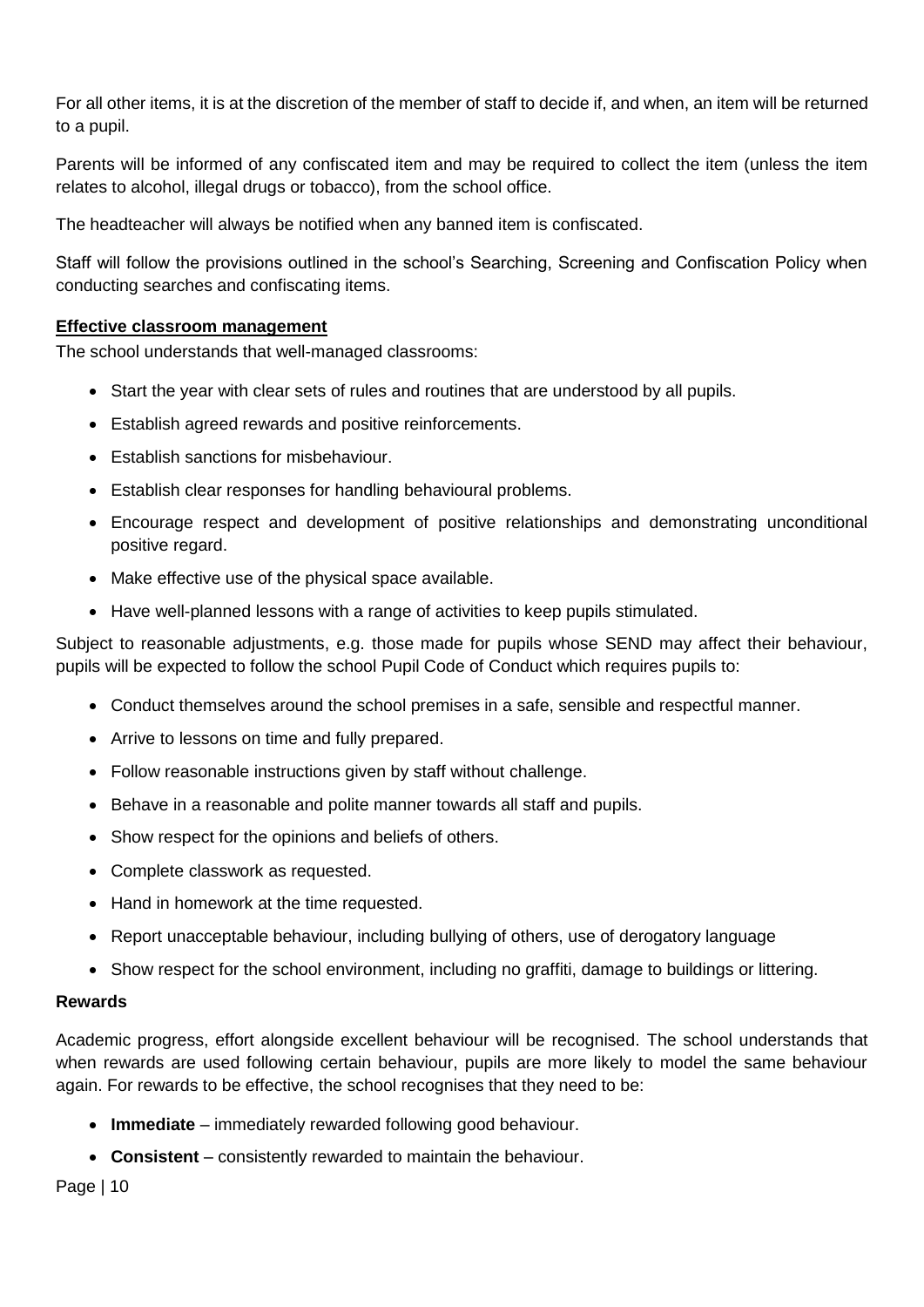For all other items, it is at the discretion of the member of staff to decide if, and when, an item will be returned to a pupil.

Parents will be informed of any confiscated item and may be required to collect the item (unless the item relates to alcohol, illegal drugs or tobacco), from the school office.

The headteacher will always be notified when any banned item is confiscated.

Staff will follow the provisions outlined in the school's Searching, Screening and Confiscation Policy when conducting searches and confiscating items.

# <span id="page-11-0"></span>**Effective classroom management**

The school understands that well-managed classrooms:

- Start the year with clear sets of rules and routines that are understood by all pupils.
- Establish agreed rewards and positive reinforcements.
- Establish sanctions for misbehaviour.
- Establish clear responses for handling behavioural problems.
- Encourage respect and development of positive relationships and demonstrating unconditional positive regard.
- Make effective use of the physical space available.
- Have well-planned lessons with a range of activities to keep pupils stimulated.

Subject to reasonable adjustments, e.g. those made for pupils whose SEND may affect their behaviour, pupils will be expected to follow the school Pupil Code of Conduct which requires pupils to:

- Conduct themselves around the school premises in a safe, sensible and respectful manner.
- Arrive to lessons on time and fully prepared.
- Follow reasonable instructions given by staff without challenge.
- Behave in a reasonable and polite manner towards all staff and pupils.
- Show respect for the opinions and beliefs of others.
- Complete classwork as requested.
- Hand in homework at the time requested.
- Report unacceptable behaviour, including bullying of others, use of derogatory language
- Show respect for the school environment, including no graffiti, damage to buildings or littering.

# **Rewards**

Academic progress, effort alongside excellent behaviour will be recognised. The school understands that when rewards are used following certain behaviour, pupils are more likely to model the same behaviour again. For rewards to be effective, the school recognises that they need to be:

- **Immediate** immediately rewarded following good behaviour.
- **Consistent** consistently rewarded to maintain the behaviour.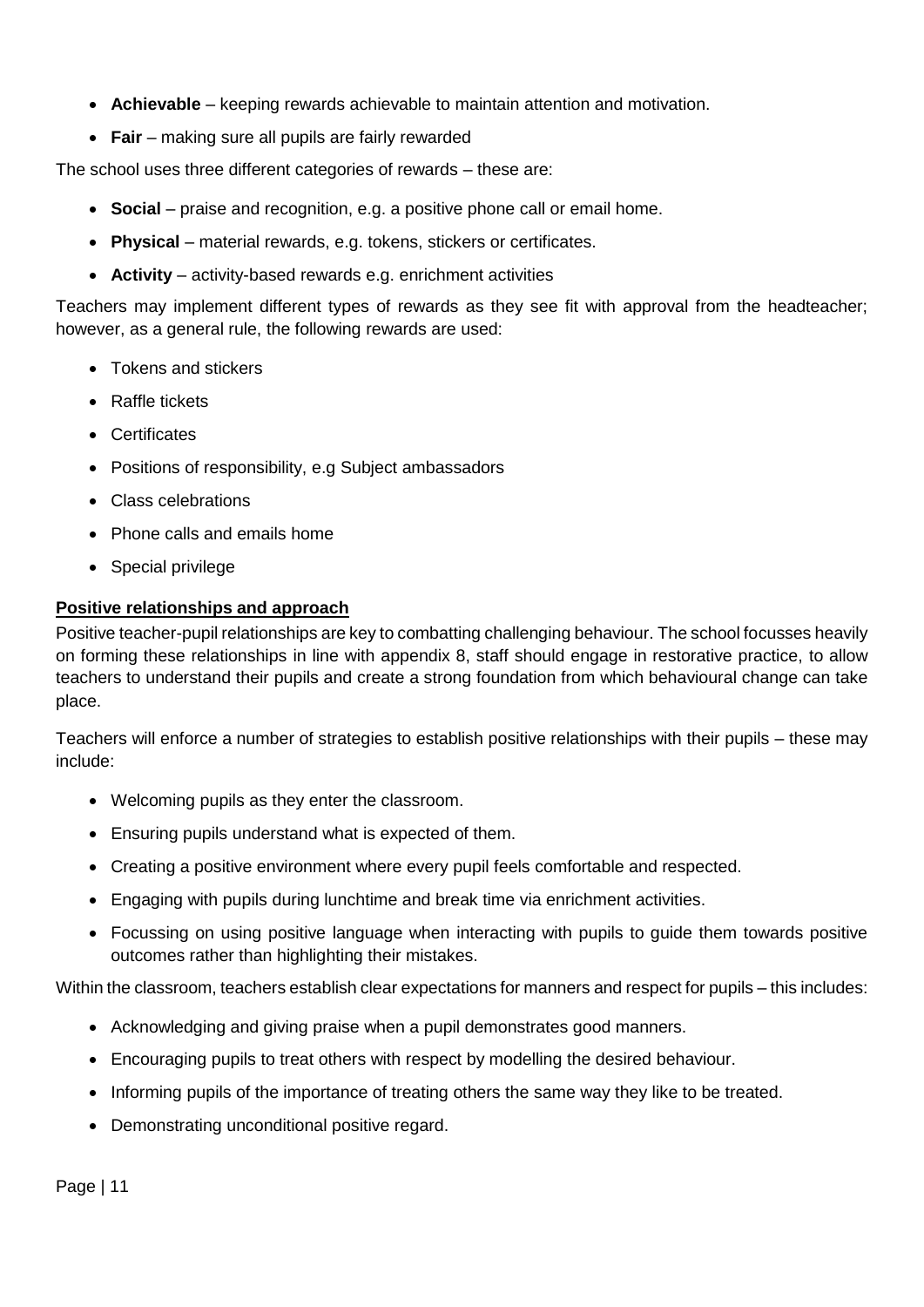- **Achievable** keeping rewards achievable to maintain attention and motivation.
- **Fair** making sure all pupils are fairly rewarded

The school uses three different categories of rewards – these are:

- **Social** praise and recognition, e.g. a positive phone call or email home.
- **Physical** material rewards, e.g. tokens, stickers or certificates.
- **Activity** activity-based rewards e.g. enrichment activities

Teachers may implement different types of rewards as they see fit with approval from the headteacher; however, as a general rule, the following rewards are used:

- Tokens and stickers
- Raffle tickets
- Certificates
- Positions of responsibility, e.g Subject ambassadors
- Class celebrations
- Phone calls and emails home
- Special privilege

# <span id="page-12-0"></span>**Positive relationships and approach**

Positive teacher-pupil relationships are key to combatting challenging behaviour. The school focusses heavily on forming these relationships in line with appendix 8, staff should engage in restorative practice, to allow teachers to understand their pupils and create a strong foundation from which behavioural change can take place.

Teachers will enforce a number of strategies to establish positive relationships with their pupils – these may include:

- Welcoming pupils as they enter the classroom.
- Ensuring pupils understand what is expected of them.
- Creating a positive environment where every pupil feels comfortable and respected.
- Engaging with pupils during lunchtime and break time via enrichment activities.
- Focussing on using positive language when interacting with pupils to guide them towards positive outcomes rather than highlighting their mistakes.

Within the classroom, teachers establish clear expectations for manners and respect for pupils – this includes:

- Acknowledging and giving praise when a pupil demonstrates good manners.
- Encouraging pupils to treat others with respect by modelling the desired behaviour.
- Informing pupils of the importance of treating others the same way they like to be treated.
- Demonstrating unconditional positive regard.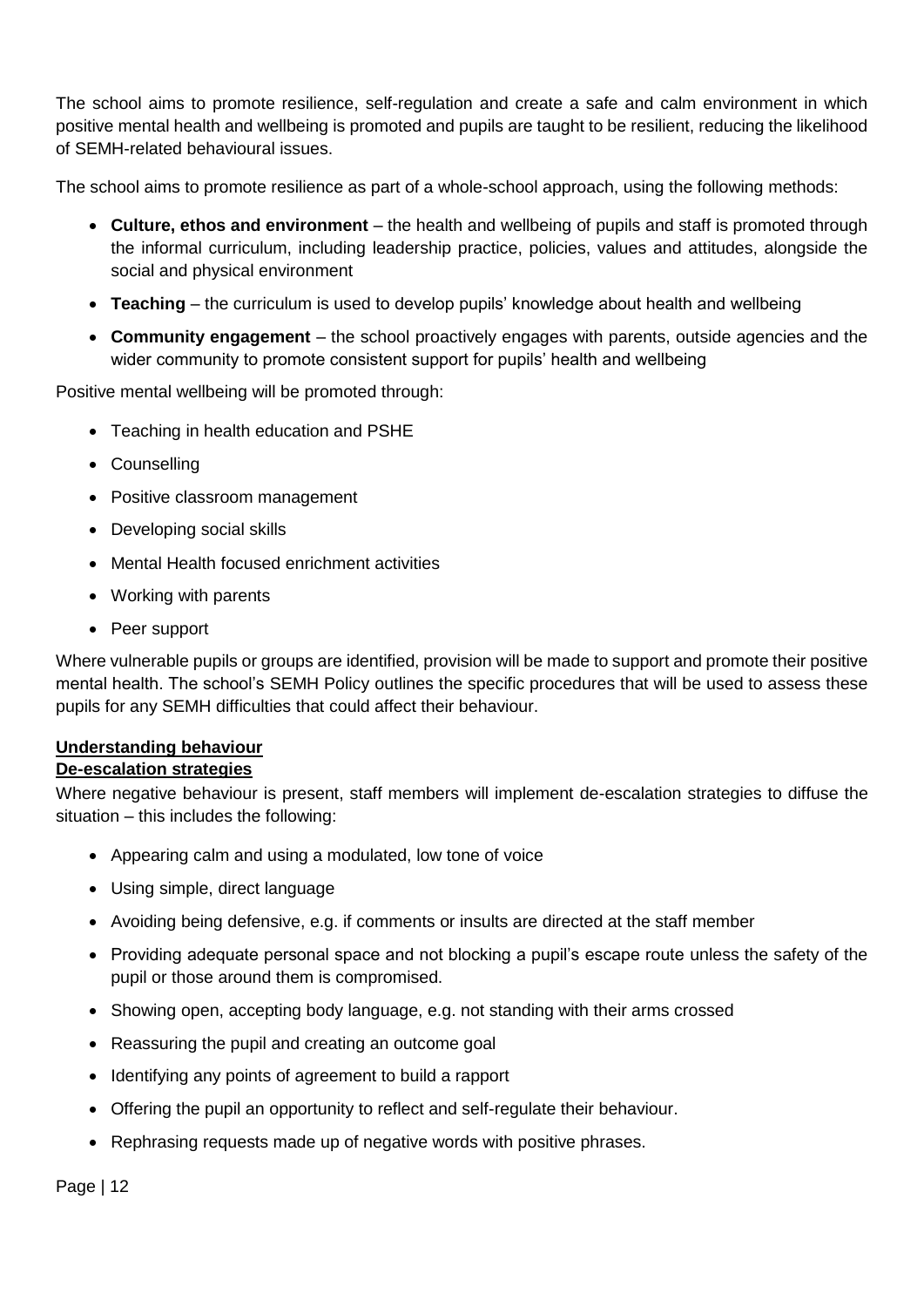The school aims to promote resilience, self-regulation and create a safe and calm environment in which positive mental health and wellbeing is promoted and pupils are taught to be resilient, reducing the likelihood of SEMH-related behavioural issues.

The school aims to promote resilience as part of a whole-school approach, using the following methods:

- **Culture, ethos and environment** the health and wellbeing of pupils and staff is promoted through the informal curriculum, including leadership practice, policies, values and attitudes, alongside the social and physical environment
- **Teaching** the curriculum is used to develop pupils' knowledge about health and wellbeing
- **Community engagement**  the school proactively engages with parents, outside agencies and the wider community to promote consistent support for pupils' health and wellbeing

Positive mental wellbeing will be promoted through:

- Teaching in health education and PSHE
- Counselling
- Positive classroom management
- Developing social skills
- Mental Health focused enrichment activities
- Working with parents
- Peer support

Where vulnerable pupils or groups are identified, provision will be made to support and promote their positive mental health. The school's SEMH Policy outlines the specific procedures that will be used to assess these pupils for any SEMH difficulties that could affect their behaviour.

# <span id="page-13-0"></span>**Understanding behaviour**

# <span id="page-13-1"></span>**De-escalation strategies**

Where negative behaviour is present, staff members will implement de-escalation strategies to diffuse the situation – this includes the following:

- Appearing calm and using a modulated, low tone of voice
- Using simple, direct language
- Avoiding being defensive, e.g. if comments or insults are directed at the staff member
- Providing adequate personal space and not blocking a pupil's escape route unless the safety of the pupil or those around them is compromised.
- Showing open, accepting body language, e.g. not standing with their arms crossed
- Reassuring the pupil and creating an outcome goal
- Identifying any points of agreement to build a rapport
- Offering the pupil an opportunity to reflect and self-regulate their behaviour.
- Rephrasing requests made up of negative words with positive phrases.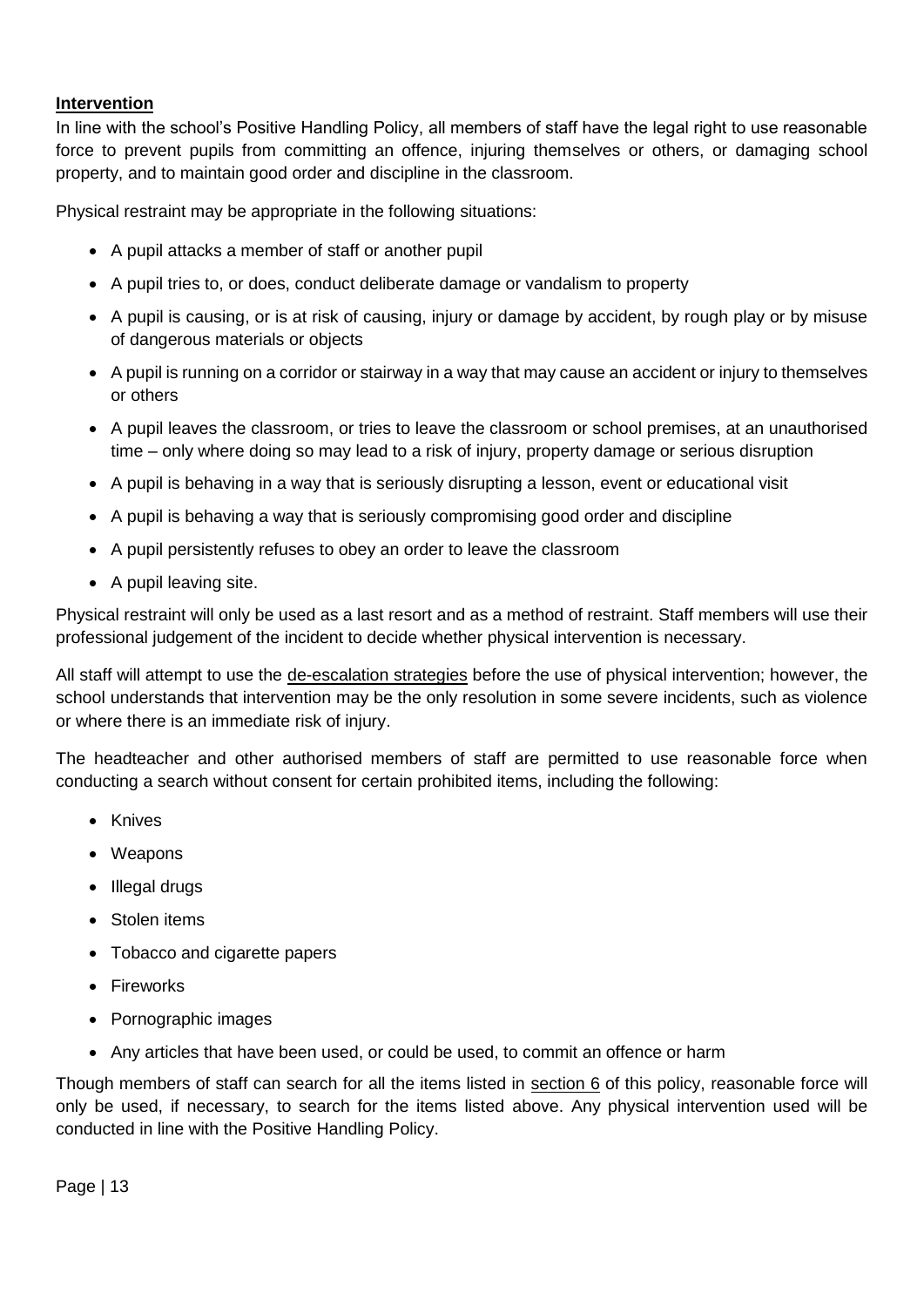# <span id="page-14-0"></span>**Intervention**

In line with the school's Positive Handling Policy, all members of staff have the legal right to use reasonable force to prevent pupils from committing an offence, injuring themselves or others, or damaging school property, and to maintain good order and discipline in the classroom.

Physical restraint may be appropriate in the following situations:

- A pupil attacks a member of staff or another pupil
- A pupil tries to, or does, conduct deliberate damage or vandalism to property
- A pupil is causing, or is at risk of causing, injury or damage by accident, by rough play or by misuse of dangerous materials or objects
- A pupil is running on a corridor or stairway in a way that may cause an accident or injury to themselves or others
- A pupil leaves the classroom, or tries to leave the classroom or school premises, at an unauthorised time – only where doing so may lead to a risk of injury, property damage or serious disruption
- A pupil is behaving in a way that is seriously disrupting a lesson, event or educational visit
- A pupil is behaving a way that is seriously compromising good order and discipline
- A pupil persistently refuses to obey an order to leave the classroom
- A pupil leaving site.

Physical restraint will only be used as a last resort and as a method of restraint. Staff members will use their professional judgement of the incident to decide whether physical intervention is necessary.

All staff will attempt to use the [de-escalation strategies](#page-13-1) before the use of physical intervention; however, the school understands that intervention may be the only resolution in some severe incidents, such as violence or where there is an immediate risk of injury.

The headteacher and other authorised members of staff are permitted to use reasonable force when conducting a search without consent for certain prohibited items, including the following:

- Knives
- Weapons
- Illegal drugs
- Stolen items
- Tobacco and cigarette papers
- Fireworks
- Pornographic images
- Any articles that have been used, or could be used, to commit an offence or harm

Though members of staff can search for all the items listed in [section 6](#page-9-0) of this policy, reasonable force will only be used, if necessary, to search for the items listed above. Any physical intervention used will be conducted in line with the Positive Handling Policy.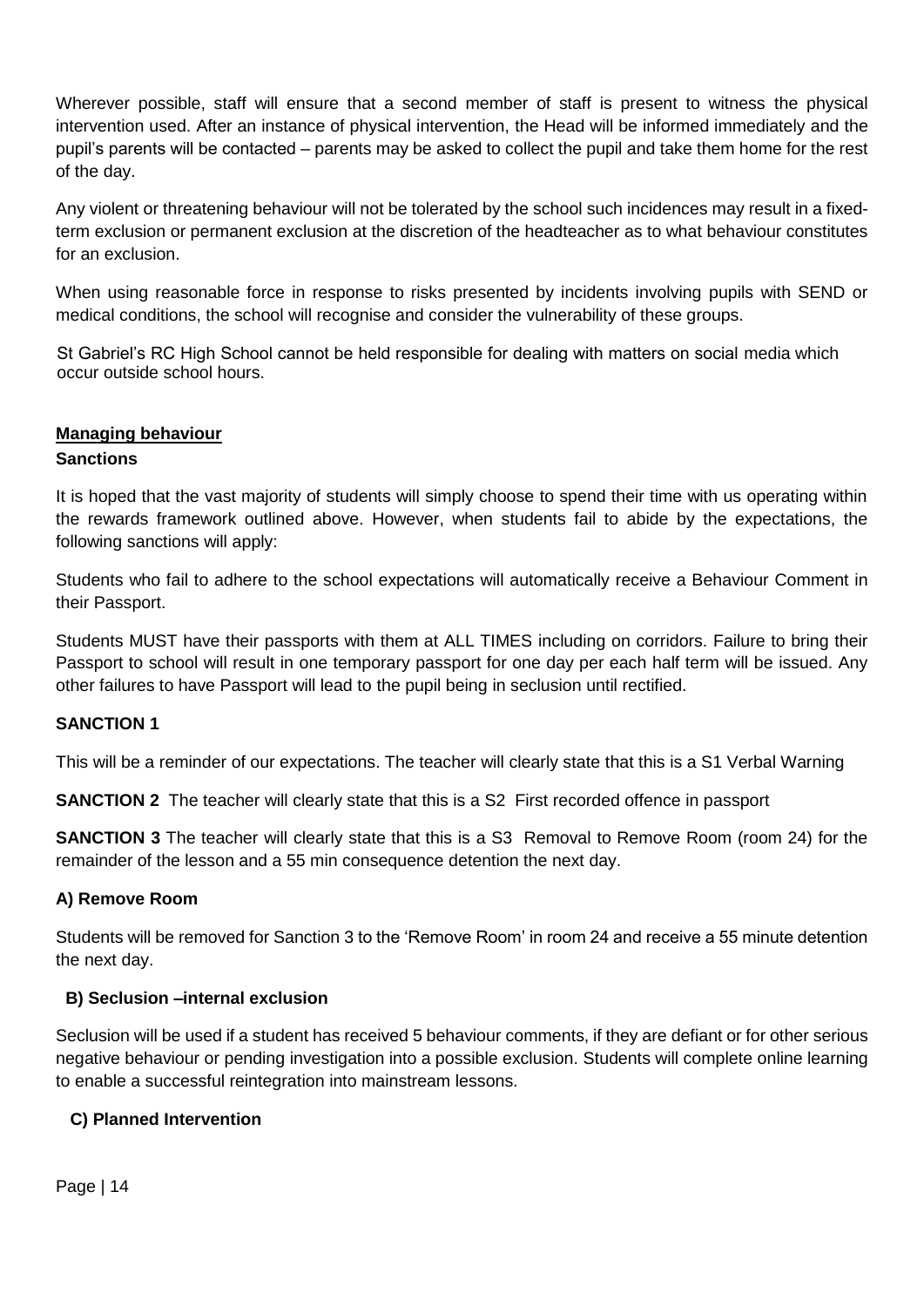Wherever possible, staff will ensure that a second member of staff is present to witness the physical intervention used. After an instance of physical intervention, the Head will be informed immediately and the pupil's parents will be contacted – parents may be asked to collect the pupil and take them home for the rest of the day.

Any violent or threatening behaviour will not be tolerated by the school such incidences may result in a fixedterm exclusion or permanent exclusion at the discretion of the headteacher as to what behaviour constitutes for an exclusion.

When using reasonable force in response to risks presented by incidents involving pupils with SEND or medical conditions, the school will recognise and consider the vulnerability of these groups.

St Gabriel's RC High School cannot be held responsible for dealing with matters on social media which occur outside school hours.

# <span id="page-15-0"></span>**Managing behaviour**

# **Sanctions**

It is hoped that the vast majority of students will simply choose to spend their time with us operating within the rewards framework outlined above. However, when students fail to abide by the expectations, the following sanctions will apply:

Students who fail to adhere to the school expectations will automatically receive a Behaviour Comment in their Passport.

Students MUST have their passports with them at ALL TIMES including on corridors. Failure to bring their Passport to school will result in one temporary passport for one day per each half term will be issued. Any other failures to have Passport will lead to the pupil being in seclusion until rectified.

# **SANCTION 1**

This will be a reminder of our expectations. The teacher will clearly state that this is a S1 Verbal Warning

**SANCTION 2** The teacher will clearly state that this is a S2 First recorded offence in passport

**SANCTION 3** The teacher will clearly state that this is a S3 Removal to Remove Room (room 24) for the remainder of the lesson and a 55 min consequence detention the next day.

# **A) Remove Room**

Students will be removed for Sanction 3 to the 'Remove Room' in room 24 and receive a 55 minute detention the next day.

# **B) Seclusion –internal exclusion**

Seclusion will be used if a student has received 5 behaviour comments, if they are defiant or for other serious negative behaviour or pending investigation into a possible exclusion. Students will complete online learning to enable a successful reintegration into mainstream lessons.

# **C) Planned Intervention**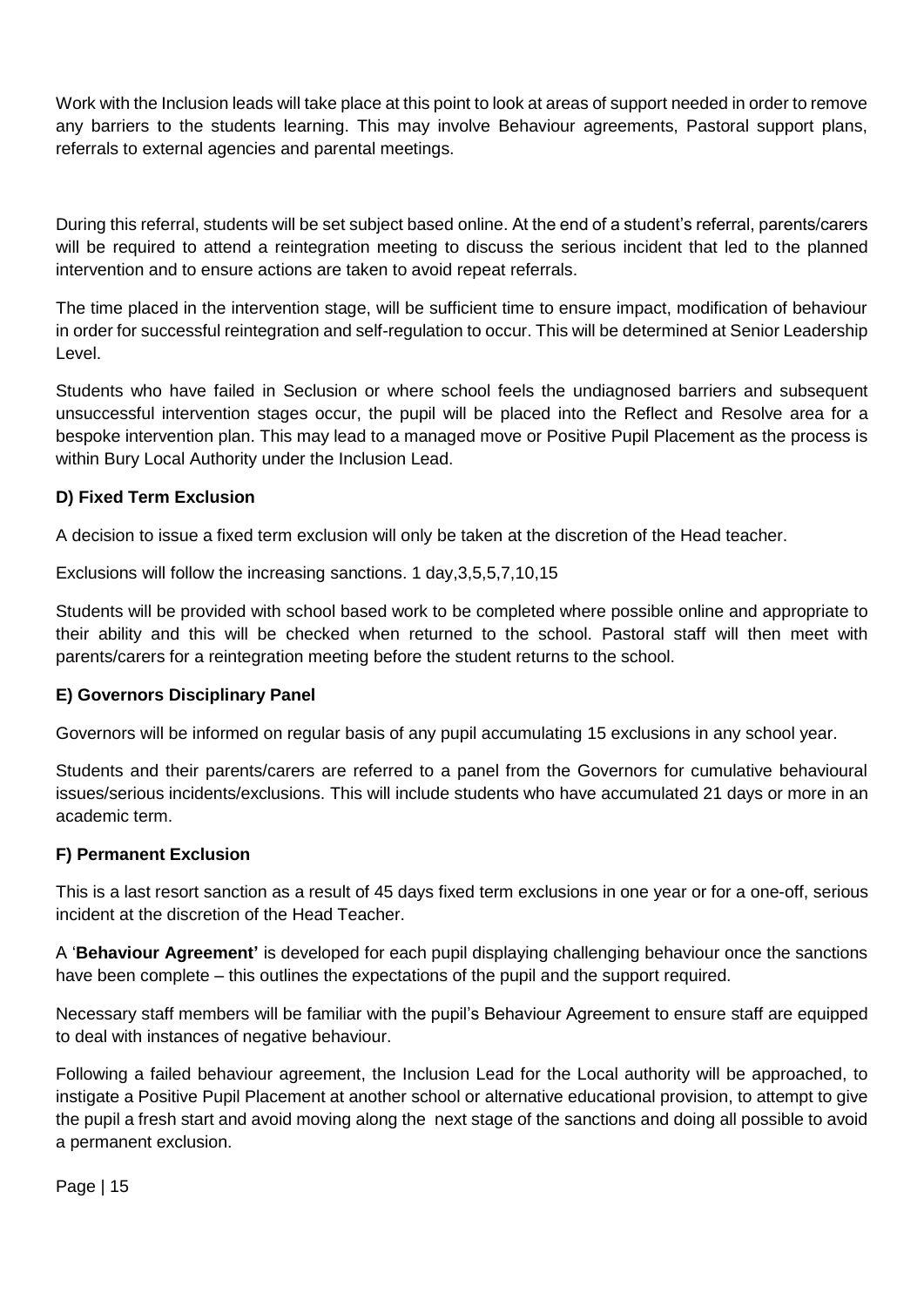Work with the Inclusion leads will take place at this point to look at areas of support needed in order to remove any barriers to the students learning. This may involve Behaviour agreements, Pastoral support plans, referrals to external agencies and parental meetings.

During this referral, students will be set subject based online. At the end of a student's referral, parents/carers will be required to attend a reintegration meeting to discuss the serious incident that led to the planned intervention and to ensure actions are taken to avoid repeat referrals.

The time placed in the intervention stage, will be sufficient time to ensure impact, modification of behaviour in order for successful reintegration and self-regulation to occur. This will be determined at Senior Leadership Level.

Students who have failed in Seclusion or where school feels the undiagnosed barriers and subsequent unsuccessful intervention stages occur, the pupil will be placed into the Reflect and Resolve area for a bespoke intervention plan. This may lead to a managed move or Positive Pupil Placement as the process is within Bury Local Authority under the Inclusion Lead.

# **D) Fixed Term Exclusion**

A decision to issue a fixed term exclusion will only be taken at the discretion of the Head teacher.

Exclusions will follow the increasing sanctions. 1 day,3,5,5,7,10,15

Students will be provided with school based work to be completed where possible online and appropriate to their ability and this will be checked when returned to the school. Pastoral staff will then meet with parents/carers for a reintegration meeting before the student returns to the school.

# **E) Governors Disciplinary Panel**

Governors will be informed on regular basis of any pupil accumulating 15 exclusions in any school year.

Students and their parents/carers are referred to a panel from the Governors for cumulative behavioural issues/serious incidents/exclusions. This will include students who have accumulated 21 days or more in an academic term.

# **F) Permanent Exclusion**

This is a last resort sanction as a result of 45 days fixed term exclusions in one year or for a one-off, serious incident at the discretion of the Head Teacher.

A '**Behaviour Agreement'** is developed for each pupil displaying challenging behaviour once the sanctions have been complete – this outlines the expectations of the pupil and the support required.

Necessary staff members will be familiar with the pupil's Behaviour Agreement to ensure staff are equipped to deal with instances of negative behaviour.

Following a failed behaviour agreement, the Inclusion Lead for the Local authority will be approached, to instigate a Positive Pupil Placement at another school or alternative educational provision, to attempt to give the pupil a fresh start and avoid moving along the next stage of the sanctions and doing all possible to avoid a permanent exclusion.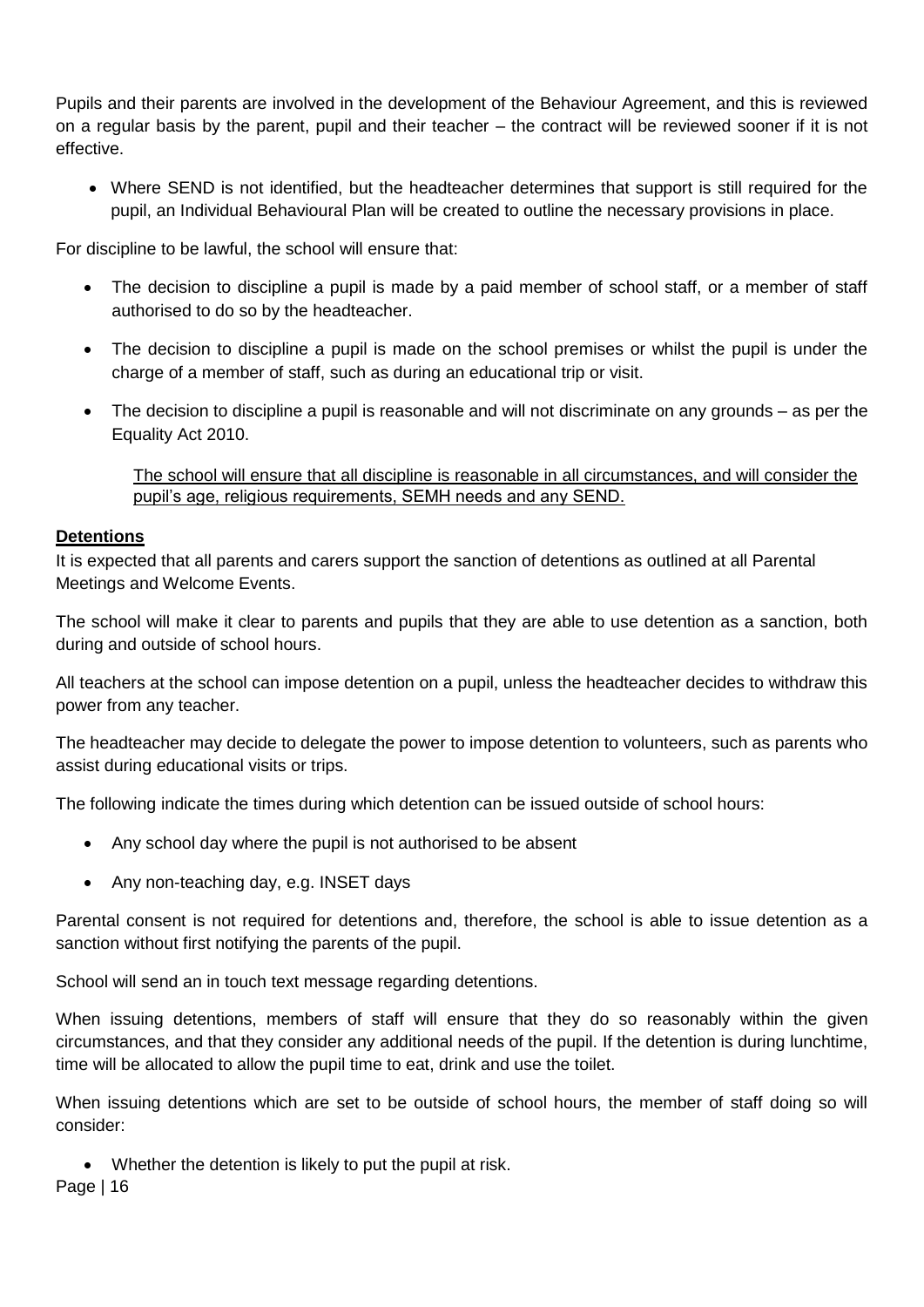Pupils and their parents are involved in the development of the Behaviour Agreement, and this is reviewed on a regular basis by the parent, pupil and their teacher – the contract will be reviewed sooner if it is not effective.

• Where SEND is not identified, but the headteacher determines that support is still required for the pupil, an Individual Behavioural Plan will be created to outline the necessary provisions in place.

For discipline to be lawful, the school will ensure that:

- The decision to discipline a pupil is made by a paid member of school staff, or a member of staff authorised to do so by the headteacher.
- The decision to discipline a pupil is made on the school premises or whilst the pupil is under the charge of a member of staff, such as during an educational trip or visit.
- The decision to discipline a pupil is reasonable and will not discriminate on any grounds as per the Equality Act 2010.

The school will ensure that all discipline is reasonable in all circumstances, and will consider the pupil's age, religious requirements, SEMH needs and any SEND.

# <span id="page-17-0"></span>**Detentions**

It is expected that all parents and carers support the sanction of detentions as outlined at all Parental Meetings and Welcome Events.

The school will make it clear to parents and pupils that they are able to use detention as a sanction, both during and outside of school hours.

All teachers at the school can impose detention on a pupil, unless the headteacher decides to withdraw this power from any teacher.

The headteacher may decide to delegate the power to impose detention to volunteers, such as parents who assist during educational visits or trips.

The following indicate the times during which detention can be issued outside of school hours:

- Any school day where the pupil is not authorised to be absent
- Any non-teaching day, e.g. INSET days

Parental consent is not required for detentions and, therefore, the school is able to issue detention as a sanction without first notifying the parents of the pupil.

School will send an in touch text message regarding detentions.

When issuing detentions, members of staff will ensure that they do so reasonably within the given circumstances, and that they consider any additional needs of the pupil. If the detention is during lunchtime, time will be allocated to allow the pupil time to eat, drink and use the toilet.

When issuing detentions which are set to be outside of school hours, the member of staff doing so will consider:

• Whether the detention is likely to put the pupil at risk.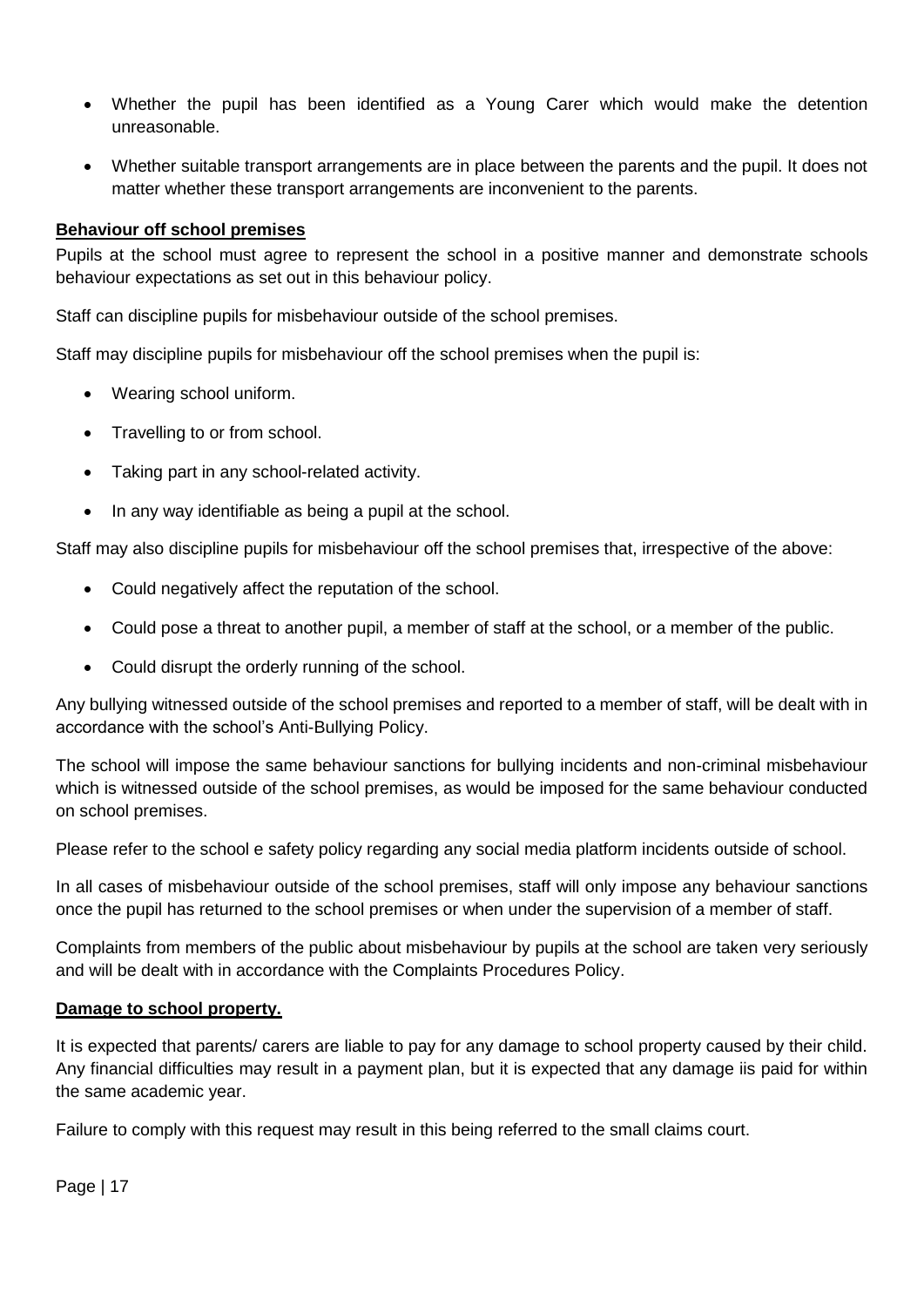- Whether the pupil has been identified as a Young Carer which would make the detention unreasonable.
- Whether suitable transport arrangements are in place between the parents and the pupil. It does not matter whether these transport arrangements are inconvenient to the parents.

# <span id="page-18-0"></span>**Behaviour off school premises**

Pupils at the school must agree to represent the school in a positive manner and demonstrate schools behaviour expectations as set out in this behaviour policy.

Staff can discipline pupils for misbehaviour outside of the school premises.

Staff may discipline pupils for misbehaviour off the school premises when the pupil is:

- Wearing school uniform.
- Travelling to or from school.
- Taking part in any school-related activity.
- In any way identifiable as being a pupil at the school.

Staff may also discipline pupils for misbehaviour off the school premises that, irrespective of the above:

- Could negatively affect the reputation of the school.
- Could pose a threat to another pupil, a member of staff at the school, or a member of the public.
- Could disrupt the orderly running of the school.

Any bullying witnessed outside of the school premises and reported to a member of staff, will be dealt with in accordance with the school's Anti-Bullying Policy.

The school will impose the same behaviour sanctions for bullying incidents and non-criminal misbehaviour which is witnessed outside of the school premises, as would be imposed for the same behaviour conducted on school premises.

Please refer to the school e safety policy regarding any social media platform incidents outside of school.

In all cases of misbehaviour outside of the school premises, staff will only impose any behaviour sanctions once the pupil has returned to the school premises or when under the supervision of a member of staff.

Complaints from members of the public about misbehaviour by pupils at the school are taken very seriously and will be dealt with in accordance with the Complaints Procedures Policy.

# **Damage to school property.**

It is expected that parents/ carers are liable to pay for any damage to school property caused by their child. Any financial difficulties may result in a payment plan, but it is expected that any damage iis paid for within the same academic year.

Failure to comply with this request may result in this being referred to the small claims court.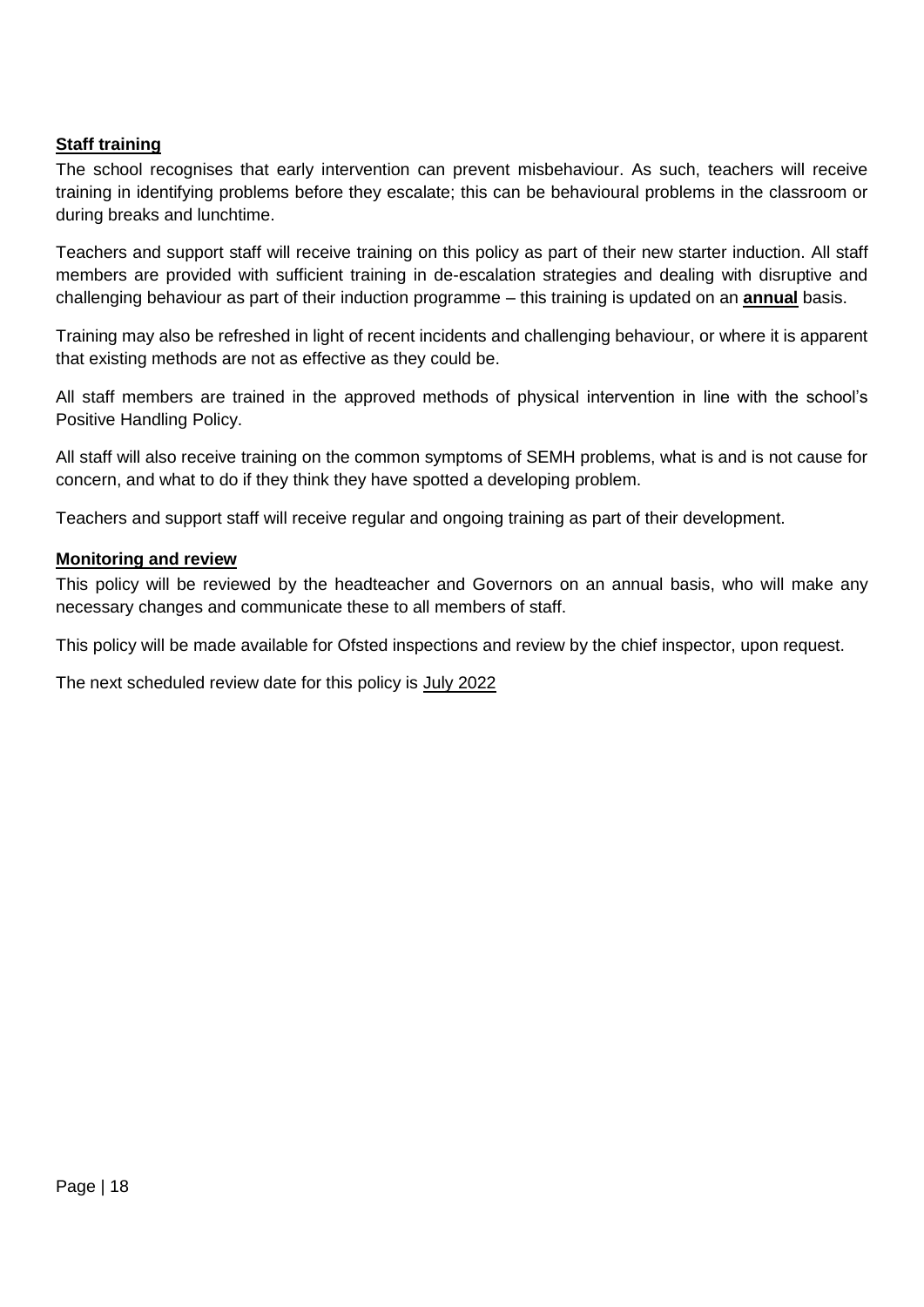# <span id="page-19-0"></span>**Staff training**

The school recognises that early intervention can prevent misbehaviour. As such, teachers will receive training in identifying problems before they escalate; this can be behavioural problems in the classroom or during breaks and lunchtime.

Teachers and support staff will receive training on this policy as part of their new starter induction. All staff members are provided with sufficient training in de-escalation strategies and dealing with disruptive and challenging behaviour as part of their induction programme – this training is updated on an **annual** basis.

Training may also be refreshed in light of recent incidents and challenging behaviour, or where it is apparent that existing methods are not as effective as they could be.

All staff members are trained in the approved methods of physical intervention in line with the school's Positive Handling Policy.

All staff will also receive training on the common symptoms of SEMH problems, what is and is not cause for concern, and what to do if they think they have spotted a developing problem.

Teachers and support staff will receive regular and ongoing training as part of their development.

#### **Monitoring and review**

This policy will be reviewed by the headteacher and Governors on an annual basis, who will make any necessary changes and communicate these to all members of staff.

This policy will be made available for Ofsted inspections and review by the chief inspector, upon request.

The next scheduled review date for this policy is July 2022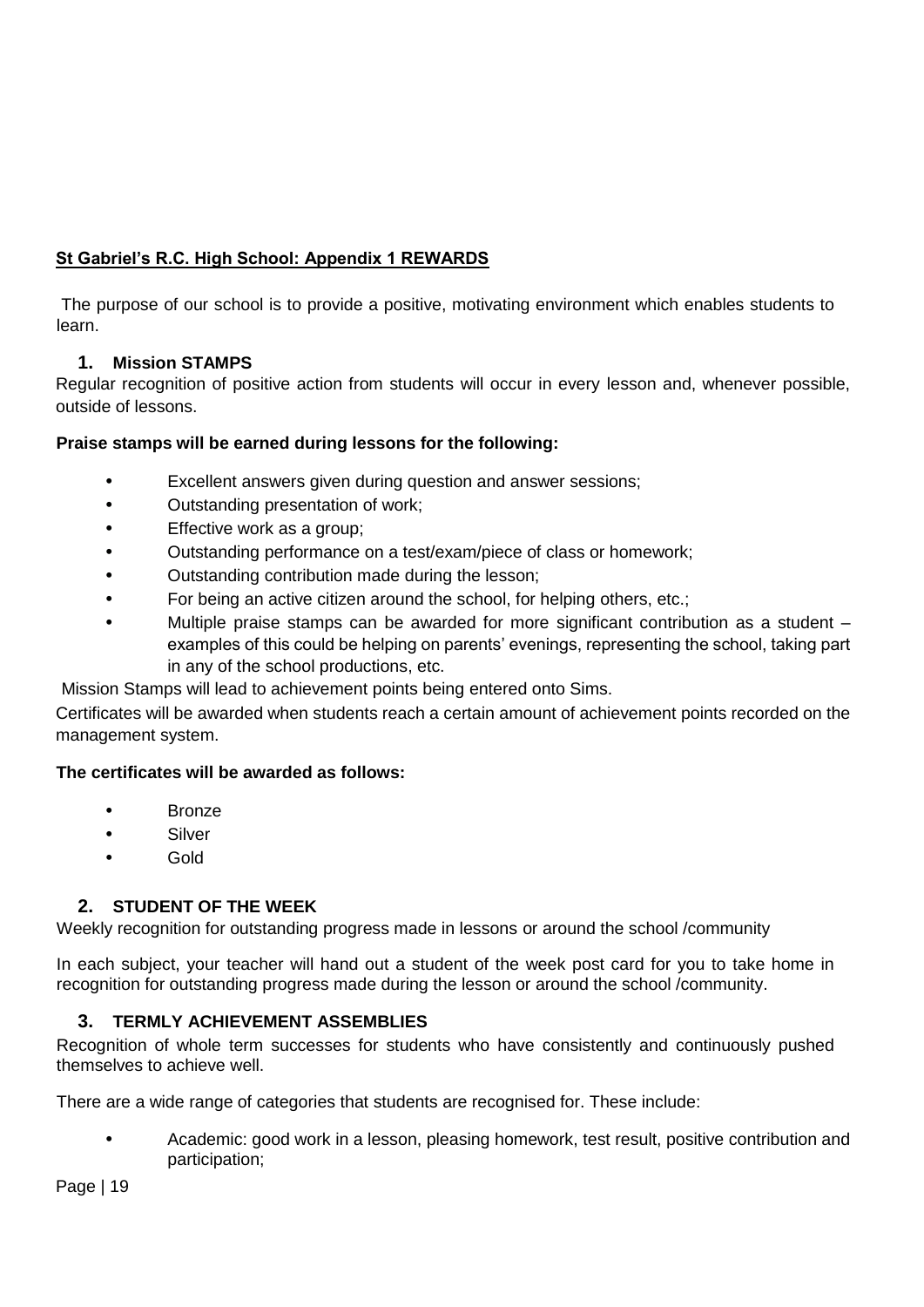# **St Gabriel's R.C. High School: Appendix 1 REWARDS**

The purpose of our school is to provide a positive, motivating environment which enables students to learn.

# **1. Mission STAMPS**

Regular recognition of positive action from students will occur in every lesson and, whenever possible, outside of lessons.

# **Praise stamps will be earned during lessons for the following:**

- Excellent answers given during question and answer sessions;
- Outstanding presentation of work;
- Effective work as a group:
- Outstanding performance on a test/exam/piece of class or homework;
- Outstanding contribution made during the lesson;
- For being an active citizen around the school, for helping others, etc.;
- Multiple praise stamps can be awarded for more significant contribution as a student examples of this could be helping on parents' evenings, representing the school, taking part in any of the school productions, etc.

Mission Stamps will lead to achievement points being entered onto Sims.

Certificates will be awarded when students reach a certain amount of achievement points recorded on the management system.

# **The certificates will be awarded as follows:**

- **Bronze**
- **Silver**
- Gold

# **2. STUDENT OF THE WEEK**

Weekly recognition for outstanding progress made in lessons or around the school /community

In each subject, your teacher will hand out a student of the week post card for you to take home in recognition for outstanding progress made during the lesson or around the school /community.

# **3. TERMLY ACHIEVEMENT ASSEMBLIES**

Recognition of whole term successes for students who have consistently and continuously pushed themselves to achieve well.

There are a wide range of categories that students are recognised for. These include:

• Academic: good work in a lesson, pleasing homework, test result, positive contribution and participation;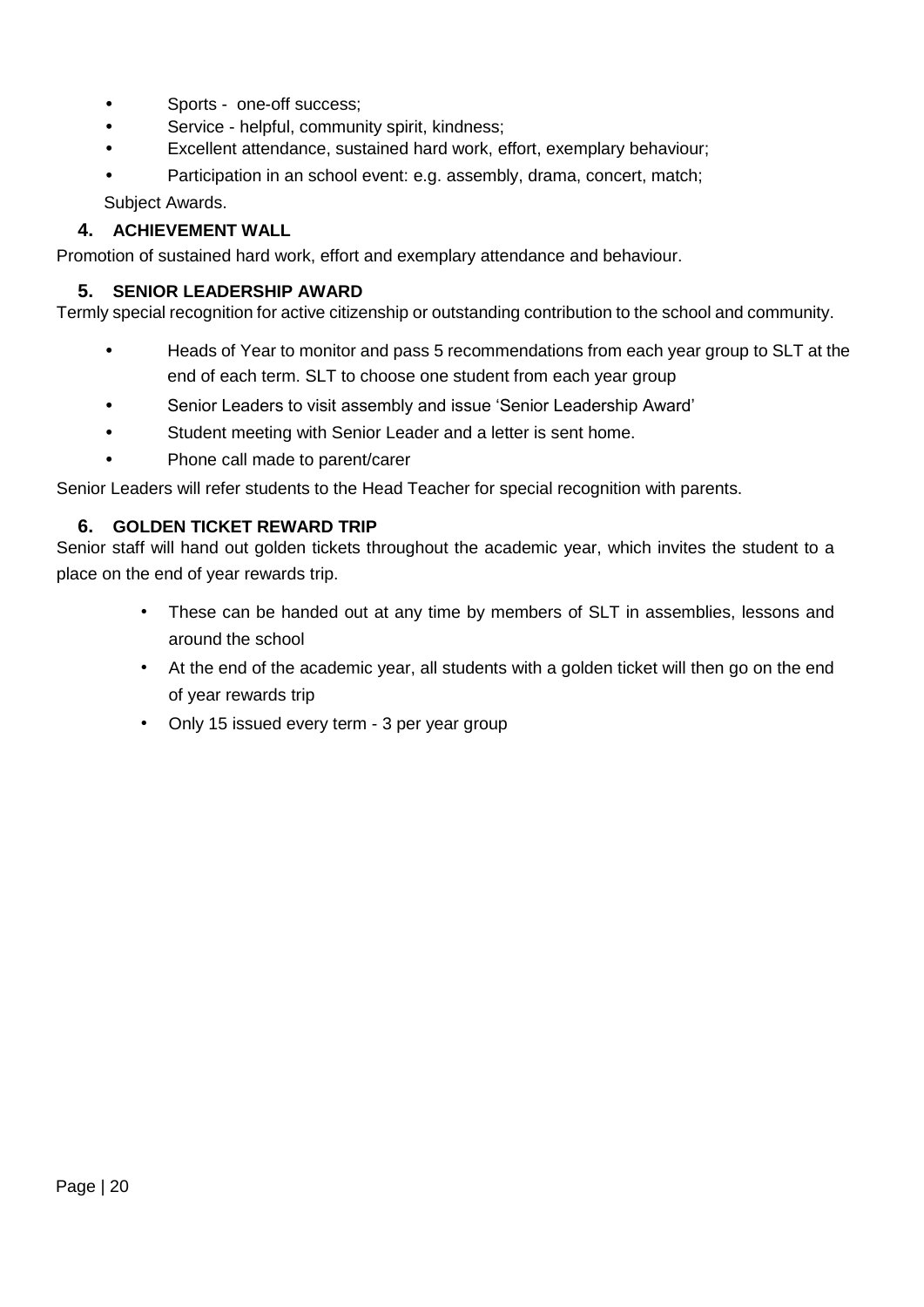- Sports one-off success;
- Service helpful, community spirit, kindness;
- Excellent attendance, sustained hard work, effort, exemplary behaviour;
- Participation in an school event: e.g. assembly, drama, concert, match;

Subject Awards.

# **4. ACHIEVEMENT WALL**

Promotion of sustained hard work, effort and exemplary attendance and behaviour.

# **5. SENIOR LEADERSHIP AWARD**

Termly special recognition for active citizenship or outstanding contribution to the school and community.

- Heads of Year to monitor and pass 5 recommendations from each year group to SLT at the end of each term. SLT to choose one student from each year group
- Senior Leaders to visit assembly and issue 'Senior Leadership Award'
- Student meeting with Senior Leader and a letter is sent home.
- Phone call made to parent/carer

Senior Leaders will refer students to the Head Teacher for special recognition with parents.

# **6. GOLDEN TICKET REWARD TRIP**

Senior staff will hand out golden tickets throughout the academic year, which invites the student to a place on the end of year rewards trip.

- These can be handed out at any time by members of SLT in assemblies, lessons and around the school
- At the end of the academic year, all students with a golden ticket will then go on the end of year rewards trip
- Only 15 issued every term 3 per year group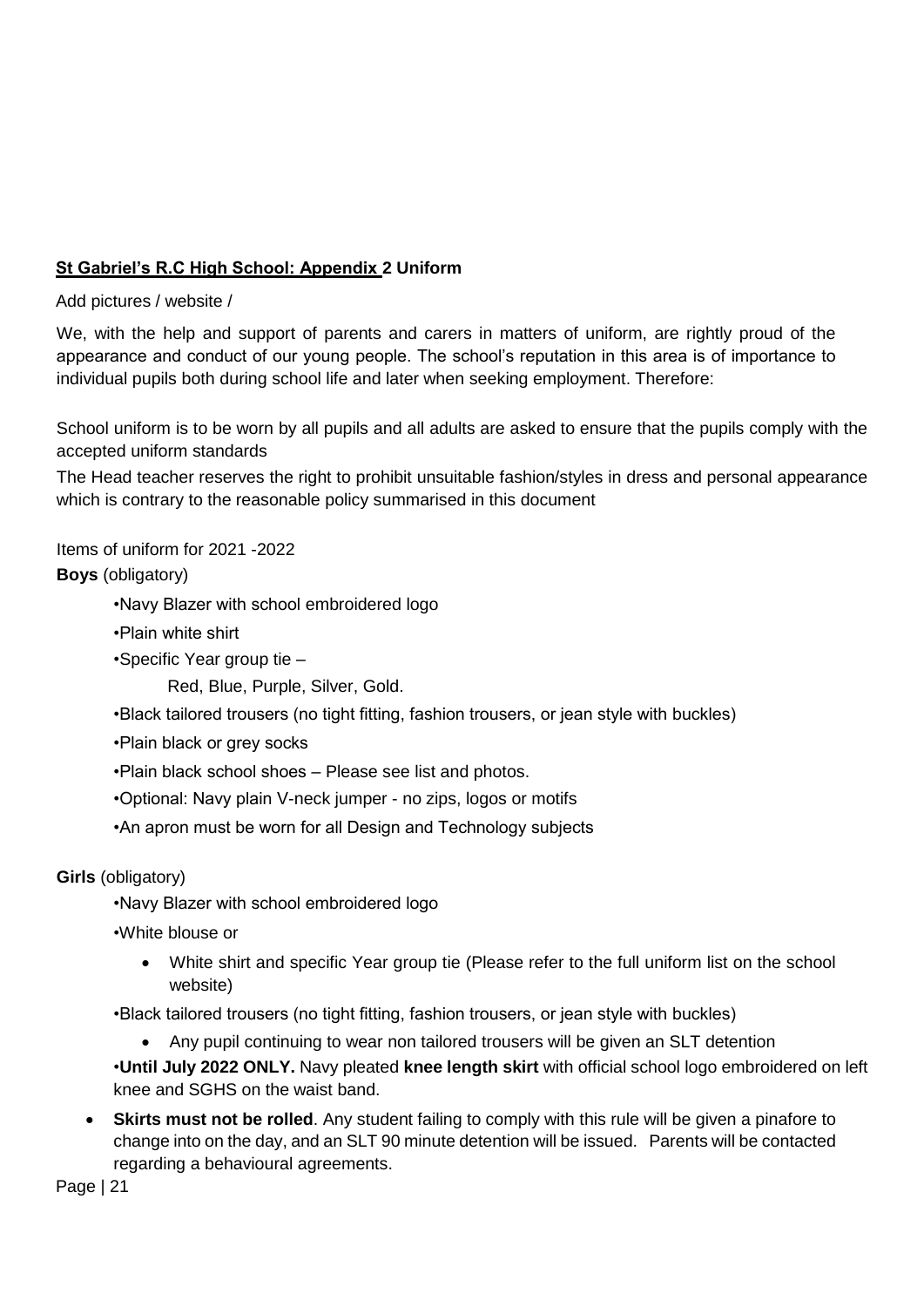# **St Gabriel's R.C High School: Appendix 2 Uniform**

Add pictures / website /

We, with the help and support of parents and carers in matters of uniform, are rightly proud of the appearance and conduct of our young people. The school's reputation in this area is of importance to individual pupils both during school life and later when seeking employment. Therefore:

School uniform is to be worn by all pupils and all adults are asked to ensure that the pupils comply with the accepted uniform standards

The Head teacher reserves the right to prohibit unsuitable fashion/styles in dress and personal appearance which is contrary to the reasonable policy summarised in this document

Items of uniform for 2021 -2022

**Boys** (obligatory)

•Navy Blazer with school embroidered logo

•Plain white shirt

•Specific Year group tie –

Red, Blue, Purple, Silver, Gold.

•Black tailored trousers (no tight fitting, fashion trousers, or jean style with buckles)

•Plain black or grey socks

•Plain black school shoes – Please see list and photos.

•Optional: Navy plain V-neck jumper - no zips, logos or motifs

•An apron must be worn for all Design and Technology subjects

**Girls** (obligatory)

•Navy Blazer with school embroidered logo

•White blouse or

• White shirt and specific Year group tie (Please refer to the full uniform list on the school website)

•Black tailored trousers (no tight fitting, fashion trousers, or jean style with buckles)

• Any pupil continuing to wear non tailored trousers will be given an SLT detention

•**Until July 2022 ONLY.** Navy pleated **knee length skirt** with official school logo embroidered on left knee and SGHS on the waist band.

• **Skirts must not be rolled**. Any student failing to comply with this rule will be given a pinafore to change into on the day, and an SLT 90 minute detention will be issued. Parents will be contacted regarding a behavioural agreements.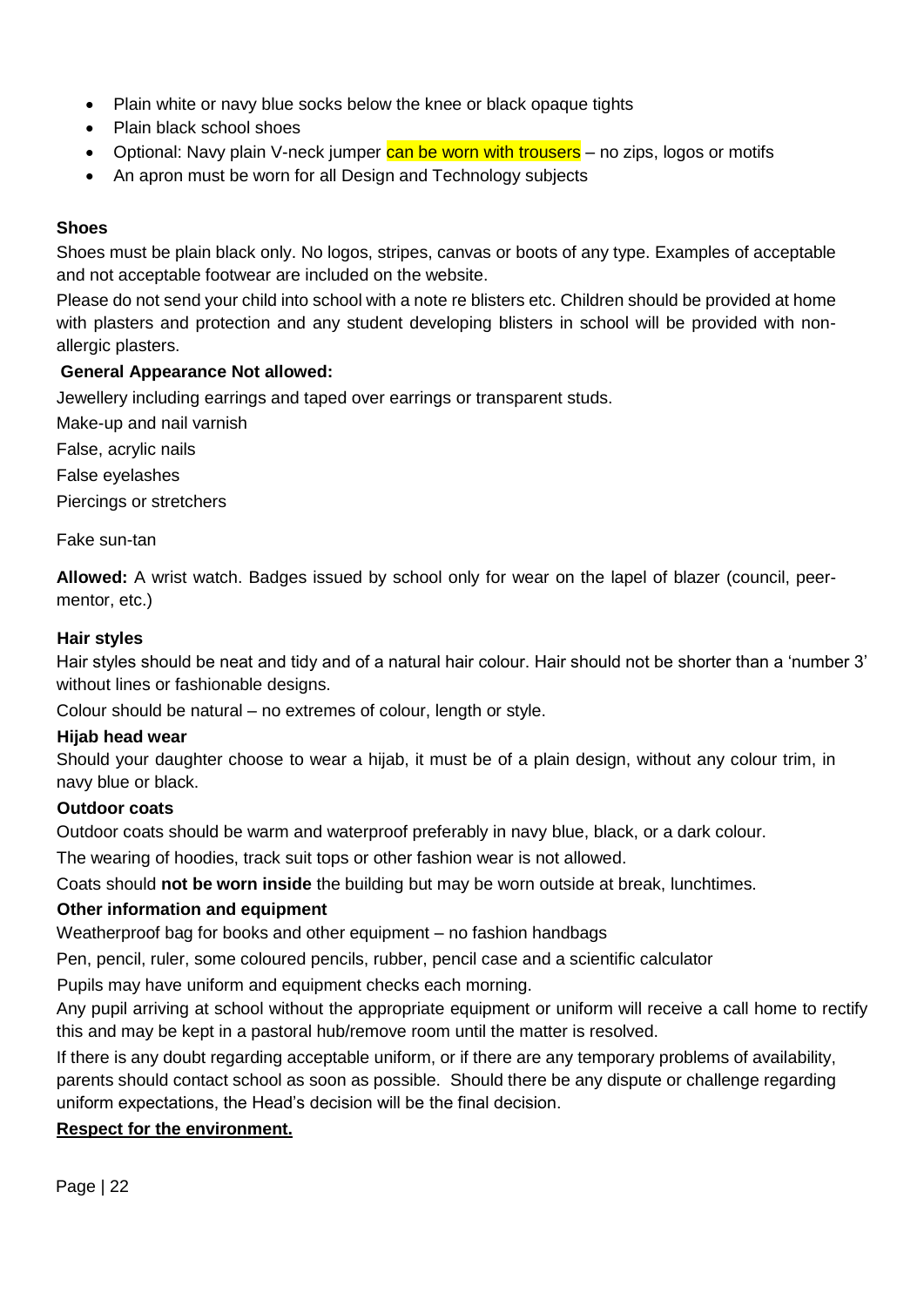- Plain white or navy blue socks below the knee or black opaque tights
- Plain black school shoes
- Optional: Navy plain V-neck jumper can be worn with trousers no zips, logos or motifs
- An apron must be worn for all Design and Technology subjects

# **Shoes**

Shoes must be plain black only. No logos, stripes, canvas or boots of any type. Examples of acceptable and not acceptable footwear are included on the website.

Please do not send your child into school with a note re blisters etc. Children should be provided at home with plasters and protection and any student developing blisters in school will be provided with nonallergic plasters.

# **General Appearance Not allowed:**

Jewellery including earrings and taped over earrings or transparent studs.

Make-up and nail varnish

False, acrylic nails

False eyelashes

Piercings or stretchers

Fake sun-tan

**Allowed:** A wrist watch. Badges issued by school only for wear on the lapel of blazer (council, peermentor, etc.)

# **Hair styles**

Hair styles should be neat and tidy and of a natural hair colour. Hair should not be shorter than a 'number 3' without lines or fashionable designs.

Colour should be natural – no extremes of colour, length or style.

# **Hijab head wear**

Should your daughter choose to wear a hijab, it must be of a plain design, without any colour trim, in navy blue or black.

# **Outdoor coats**

Outdoor coats should be warm and waterproof preferably in navy blue, black, or a dark colour.

The wearing of hoodies, track suit tops or other fashion wear is not allowed.

Coats should **not be worn inside** the building but may be worn outside at break, lunchtimes.

# **Other information and equipment**

Weatherproof bag for books and other equipment – no fashion handbags

Pen, pencil, ruler, some coloured pencils, rubber, pencil case and a scientific calculator

Pupils may have uniform and equipment checks each morning.

Any pupil arriving at school without the appropriate equipment or uniform will receive a call home to rectify this and may be kept in a pastoral hub/remove room until the matter is resolved.

If there is any doubt regarding acceptable uniform, or if there are any temporary problems of availability, parents should contact school as soon as possible. Should there be any dispute or challenge regarding uniform expectations, the Head's decision will be the final decision.

# **Respect for the environment.**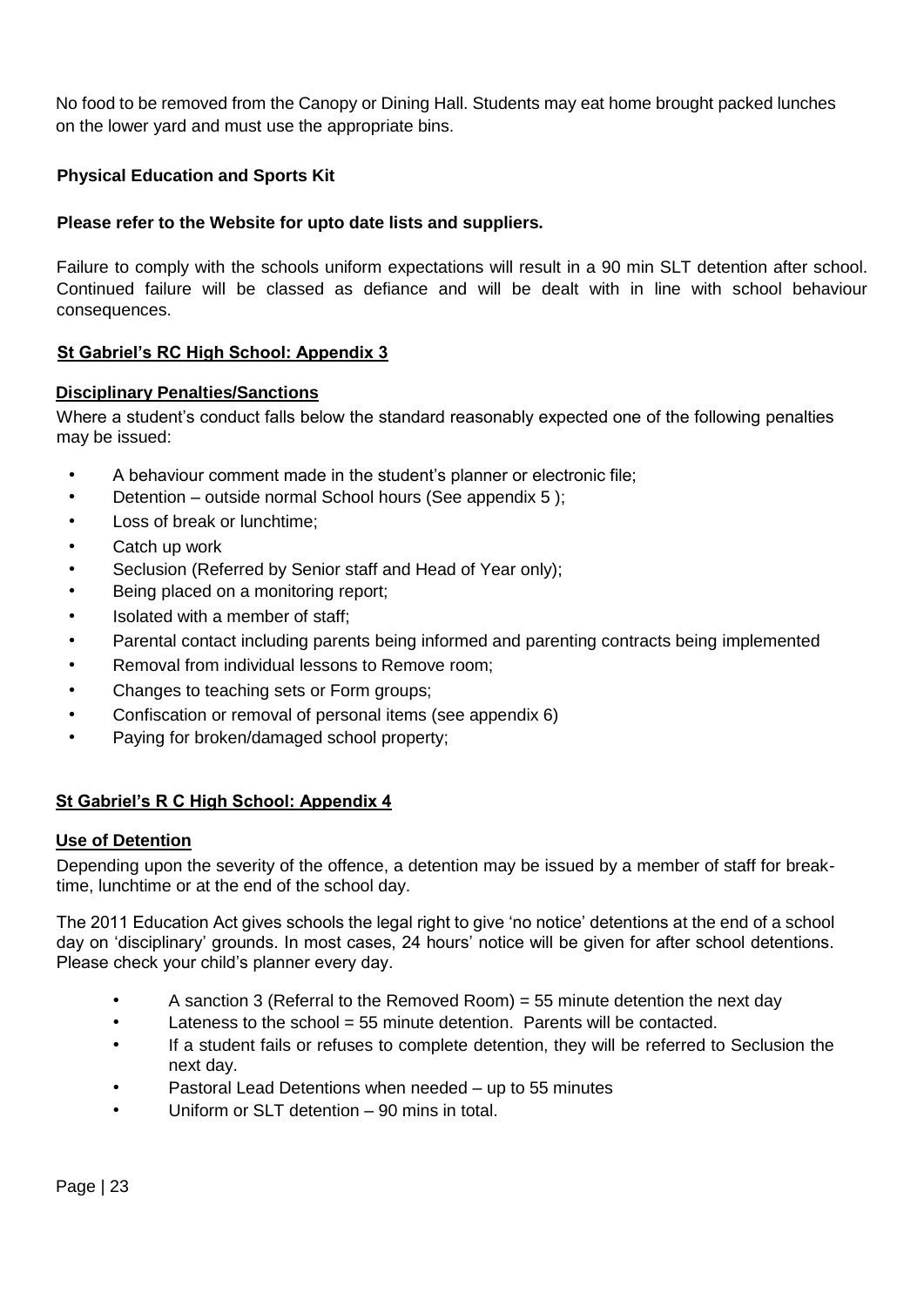No food to be removed from the Canopy or Dining Hall. Students may eat home brought packed lunches on the lower yard and must use the appropriate bins.

# **Physical Education and Sports Kit**

# **Please refer to the Website for upto date lists and suppliers.**

Failure to comply with the schools uniform expectations will result in a 90 min SLT detention after school. Continued failure will be classed as defiance and will be dealt with in line with school behaviour consequences.

# **St Gabriel's RC High School: Appendix 3**

# **Disciplinary Penalties/Sanctions**

Where a student's conduct falls below the standard reasonably expected one of the following penalties may be issued:

- A behaviour comment made in the student's planner or electronic file;
- Detention outside normal School hours (See appendix 5 );
- Loss of break or lunchtime:
- Catch up work
- Seclusion (Referred by Senior staff and Head of Year only);
- Being placed on a monitoring report:
- Isolated with a member of staff;
- Parental contact including parents being informed and parenting contracts being implemented
- Removal from individual lessons to Remove room;
- Changes to teaching sets or Form groups;
- Confiscation or removal of personal items (see appendix 6)
- Paying for broken/damaged school property;

# **St Gabriel's R C High School: Appendix 4**

# **Use of Detention**

Depending upon the severity of the offence, a detention may be issued by a member of staff for breaktime, lunchtime or at the end of the school day.

The 2011 Education Act gives schools the legal right to give 'no notice' detentions at the end of a school day on 'disciplinary' grounds. In most cases, 24 hours' notice will be given for after school detentions. Please check your child's planner every day.

- A sanction 3 (Referral to the Removed Room) = 55 minute detention the next day
- Lateness to the school = 55 minute detention. Parents will be contacted.
- If a student fails or refuses to complete detention, they will be referred to Seclusion the next day.
- Pastoral Lead Detentions when needed up to 55 minutes
- Uniform or SLT detention 90 mins in total.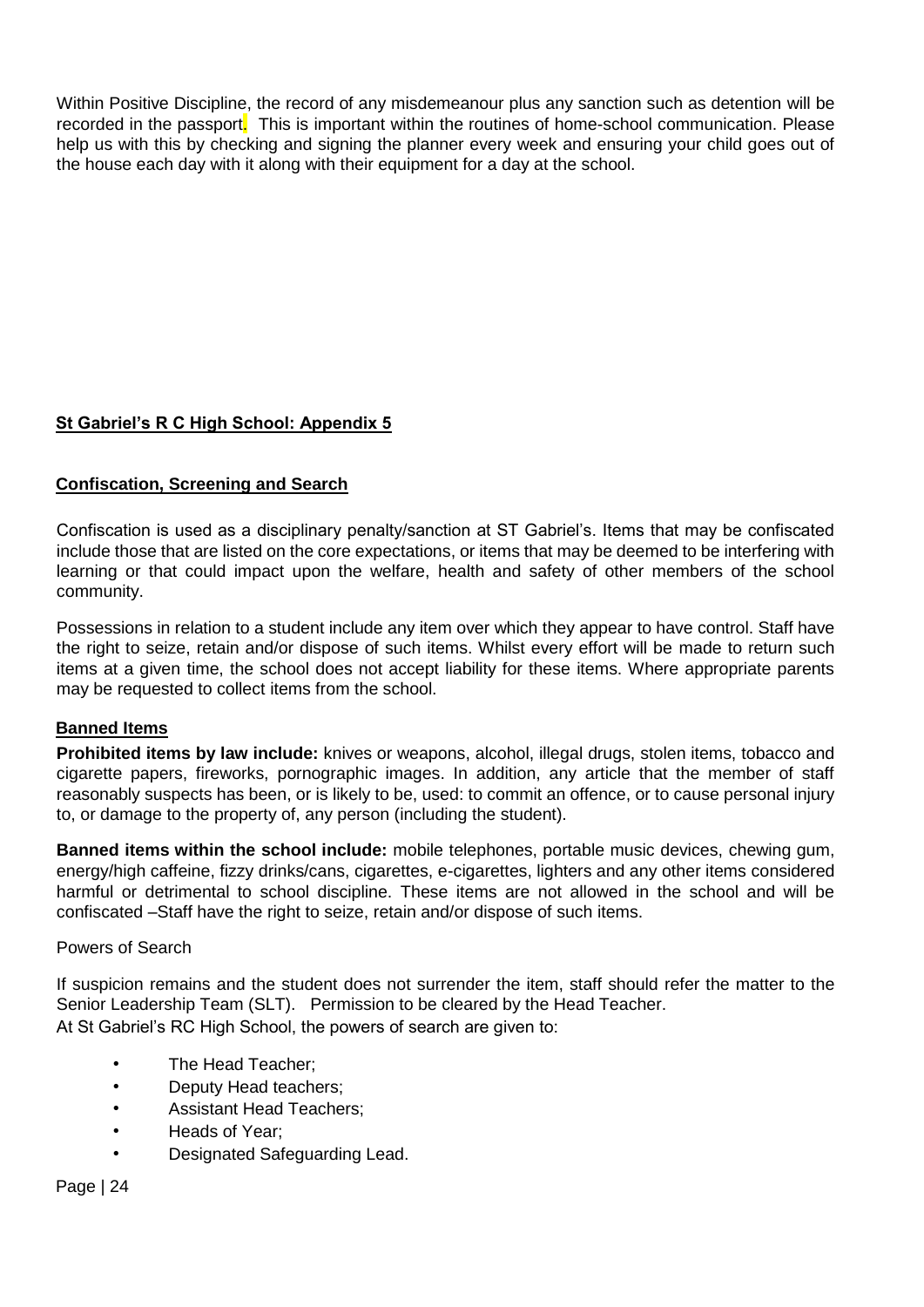Within Positive Discipline, the record of any misdemeanour plus any sanction such as detention will be recorded in the passport. This is important within the routines of home-school communication. Please help us with this by checking and signing the planner every week and ensuring your child goes out of the house each day with it along with their equipment for a day at the school.

# **St Gabriel's R C High School: Appendix 5**

# **Confiscation, Screening and Search**

Confiscation is used as a disciplinary penalty/sanction at ST Gabriel's. Items that may be confiscated include those that are listed on the core expectations, or items that may be deemed to be interfering with learning or that could impact upon the welfare, health and safety of other members of the school community.

Possessions in relation to a student include any item over which they appear to have control. Staff have the right to seize, retain and/or dispose of such items. Whilst every effort will be made to return such items at a given time, the school does not accept liability for these items. Where appropriate parents may be requested to collect items from the school.

# **Banned Items**

**Prohibited items by law include:** knives or weapons, alcohol, illegal drugs, stolen items, tobacco and cigarette papers, fireworks, pornographic images. In addition, any article that the member of staff reasonably suspects has been, or is likely to be, used: to commit an offence, or to cause personal injury to, or damage to the property of, any person (including the student).

**Banned items within the school include:** mobile telephones, portable music devices, chewing gum, energy/high caffeine, fizzy drinks/cans, cigarettes, e-cigarettes, lighters and any other items considered harmful or detrimental to school discipline. These items are not allowed in the school and will be confiscated –Staff have the right to seize, retain and/or dispose of such items.

# Powers of Search

If suspicion remains and the student does not surrender the item, staff should refer the matter to the Senior Leadership Team (SLT). Permission to be cleared by the Head Teacher. At St Gabriel's RC High School, the powers of search are given to:

- The Head Teacher;
- Deputy Head teachers;
- Assistant Head Teachers;
- Heads of Year;
- Designated Safeguarding Lead.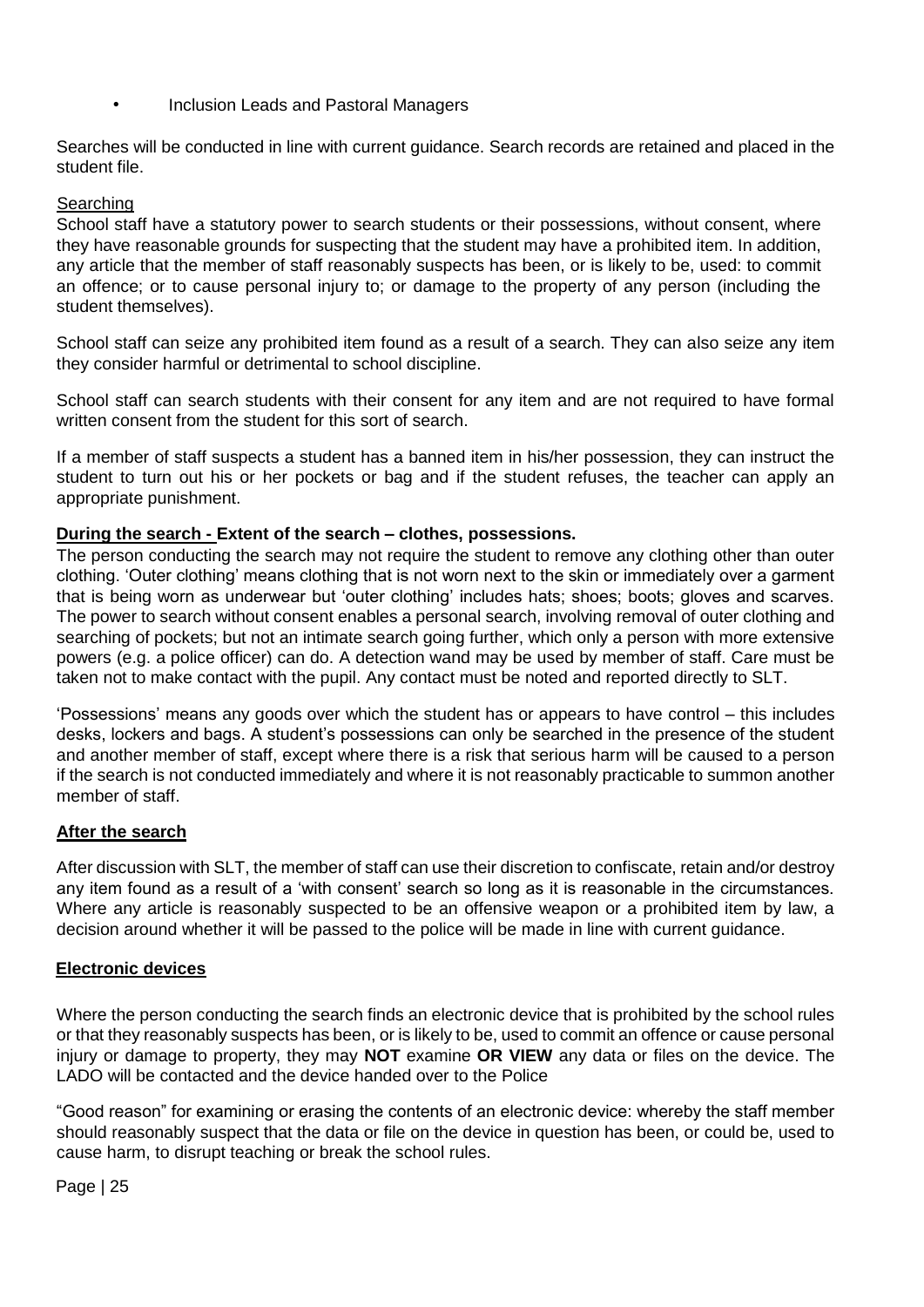• Inclusion Leads and Pastoral Managers

Searches will be conducted in line with current guidance. Search records are retained and placed in the student file.

# Searching

School staff have a statutory power to search students or their possessions, without consent, where they have reasonable grounds for suspecting that the student may have a prohibited item. In addition, any article that the member of staff reasonably suspects has been, or is likely to be, used: to commit an offence; or to cause personal injury to; or damage to the property of any person (including the student themselves).

School staff can seize any prohibited item found as a result of a search. They can also seize any item they consider harmful or detrimental to school discipline.

School staff can search students with their consent for any item and are not required to have formal written consent from the student for this sort of search.

If a member of staff suspects a student has a banned item in his/her possession, they can instruct the student to turn out his or her pockets or bag and if the student refuses, the teacher can apply an appropriate punishment.

# **During the search - Extent of the search – clothes, possessions.**

The person conducting the search may not require the student to remove any clothing other than outer clothing. 'Outer clothing' means clothing that is not worn next to the skin or immediately over a garment that is being worn as underwear but 'outer clothing' includes hats; shoes; boots; gloves and scarves. The power to search without consent enables a personal search, involving removal of outer clothing and searching of pockets; but not an intimate search going further, which only a person with more extensive powers (e.g. a police officer) can do. A detection wand may be used by member of staff. Care must be taken not to make contact with the pupil. Any contact must be noted and reported directly to SLT.

'Possessions' means any goods over which the student has or appears to have control – this includes desks, lockers and bags. A student's possessions can only be searched in the presence of the student and another member of staff, except where there is a risk that serious harm will be caused to a person if the search is not conducted immediately and where it is not reasonably practicable to summon another member of staff.

# **After the search**

After discussion with SLT, the member of staff can use their discretion to confiscate, retain and/or destroy any item found as a result of a 'with consent' search so long as it is reasonable in the circumstances. Where any article is reasonably suspected to be an offensive weapon or a prohibited item by law, a decision around whether it will be passed to the police will be made in line with current guidance.

# **Electronic devices**

Where the person conducting the search finds an electronic device that is prohibited by the school rules or that they reasonably suspects has been, or is likely to be, used to commit an offence or cause personal injury or damage to property, they may **NOT** examine **OR VIEW** any data or files on the device. The LADO will be contacted and the device handed over to the Police

"Good reason" for examining or erasing the contents of an electronic device: whereby the staff member should reasonably suspect that the data or file on the device in question has been, or could be, used to cause harm, to disrupt teaching or break the school rules.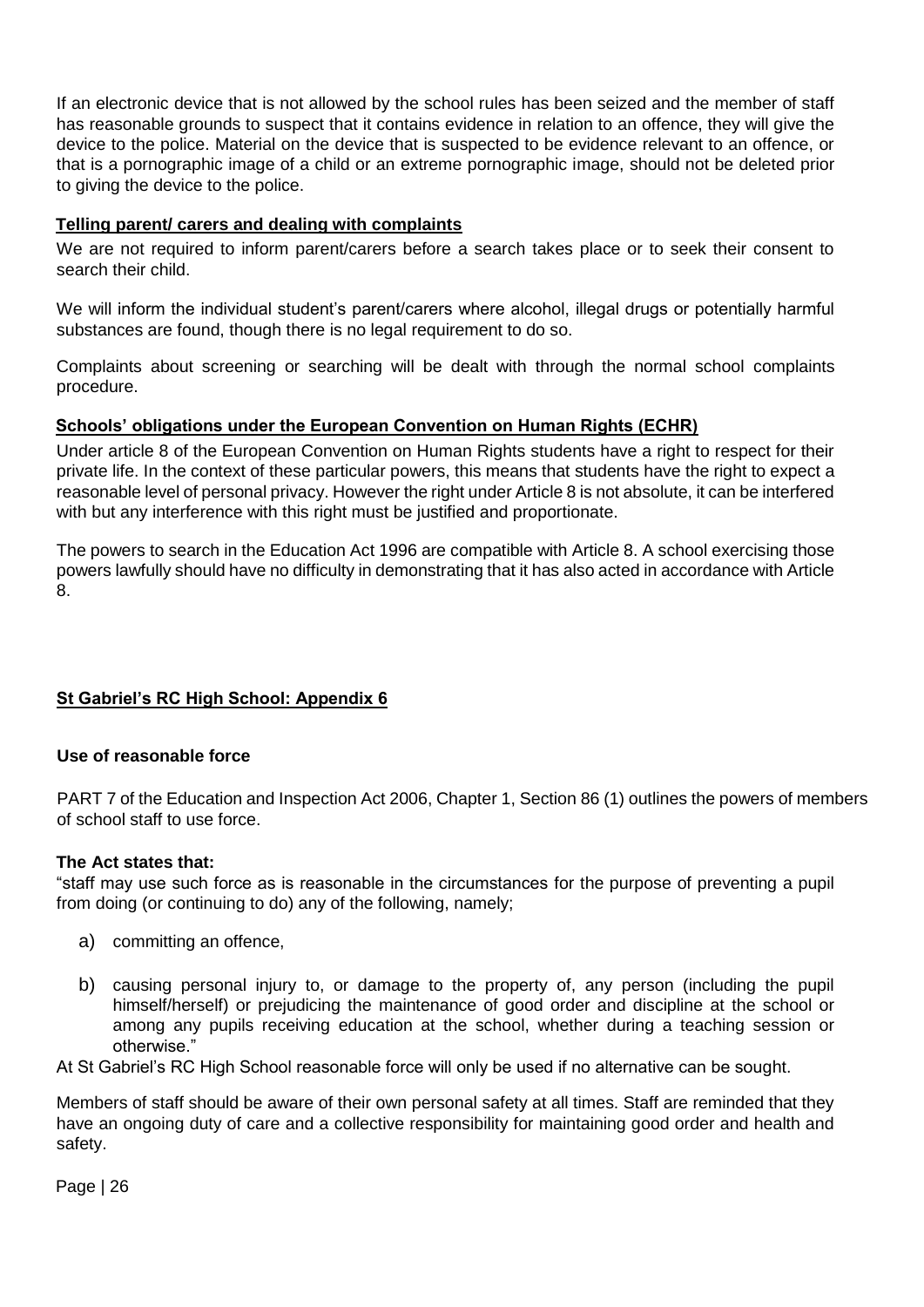If an electronic device that is not allowed by the school rules has been seized and the member of staff has reasonable grounds to suspect that it contains evidence in relation to an offence, they will give the device to the police. Material on the device that is suspected to be evidence relevant to an offence, or that is a pornographic image of a child or an extreme pornographic image, should not be deleted prior to giving the device to the police.

# **Telling parent/ carers and dealing with complaints**

We are not required to inform parent/carers before a search takes place or to seek their consent to search their child.

We will inform the individual student's parent/carers where alcohol, illegal drugs or potentially harmful substances are found, though there is no legal requirement to do so.

Complaints about screening or searching will be dealt with through the normal school complaints procedure.

# **Schools' obligations under the European Convention on Human Rights (ECHR)**

Under article 8 of the European Convention on Human Rights students have a right to respect for their private life. In the context of these particular powers, this means that students have the right to expect a reasonable level of personal privacy. However the right under Article 8 is not absolute, it can be interfered with but any interference with this right must be justified and proportionate.

The powers to search in the Education Act 1996 are compatible with Article 8. A school exercising those powers lawfully should have no difficulty in demonstrating that it has also acted in accordance with Article 8.

# **St Gabriel's RC High School: Appendix 6**

# **Use of reasonable force**

PART 7 of the Education and Inspection Act 2006, Chapter 1, Section 86 (1) outlines the powers of members of school staff to use force.

# **The Act states that:**

"staff may use such force as is reasonable in the circumstances for the purpose of preventing a pupil from doing (or continuing to do) any of the following, namely;

- a) committing an offence,
- b) causing personal injury to, or damage to the property of, any person (including the pupil himself/herself) or prejudicing the maintenance of good order and discipline at the school or among any pupils receiving education at the school, whether during a teaching session or otherwise."

At St Gabriel's RC High School reasonable force will only be used if no alternative can be sought.

Members of staff should be aware of their own personal safety at all times. Staff are reminded that they have an ongoing duty of care and a collective responsibility for maintaining good order and health and safety.